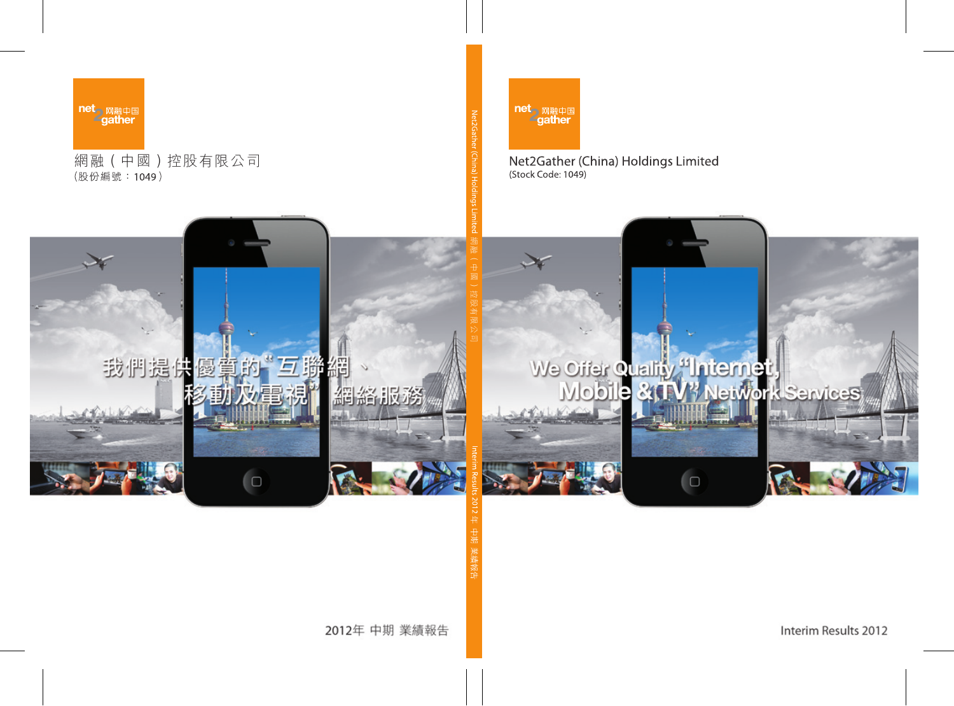

### Net2Gather (China) Holdings Limited (Stock Code: 1049)



Interim Results 2012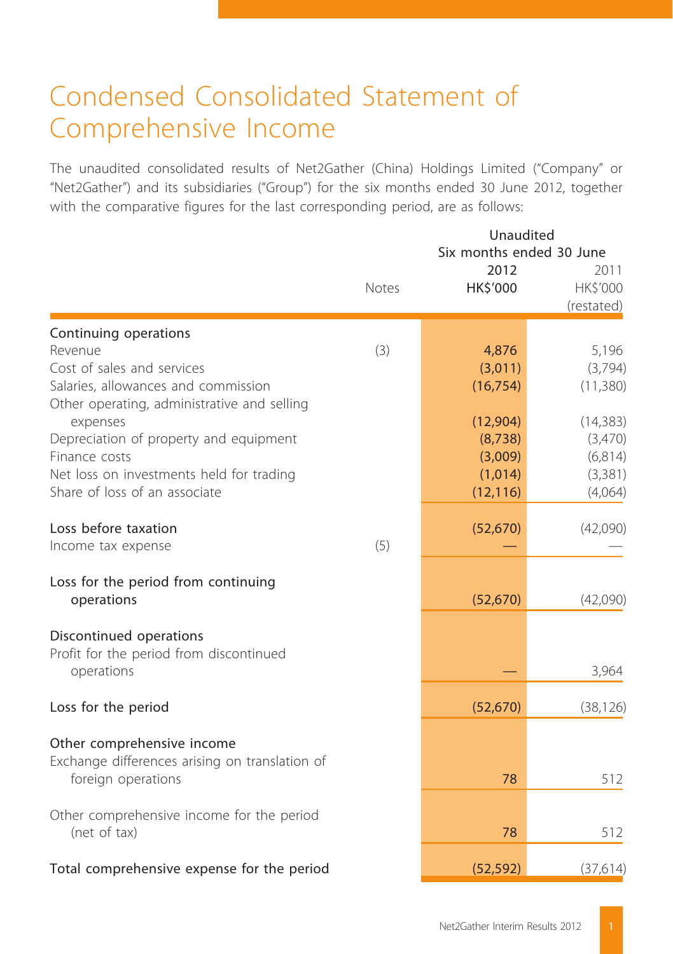## Condensed Consolidated Statement of Comprehensive Income

The unaudited consolidated results of Net2Gather (China) Holdings Limited ("Company" or "Net2Gather") and its subsidiaries ("Group") for the six months ended 30 June 2012, together with the comparative figures for the last corresponding period, are as follows:

|                                                         | Unaudited<br>Six months ended 30 June |                  |                                |  |
|---------------------------------------------------------|---------------------------------------|------------------|--------------------------------|--|
|                                                         | <b>Notes</b>                          | 2012<br>HK\$'000 | 2011<br>HK\$'000<br>(restated) |  |
| Continuing operations                                   |                                       |                  |                                |  |
| Revenue                                                 | (3)                                   | 4,876            | 5,196                          |  |
| Cost of sales and services                              |                                       | (3,011)          | (3,794)                        |  |
| Salaries, allowances and commission                     |                                       | (16, 754)        | (11,380)                       |  |
| Other operating, administrative and selling<br>expenses |                                       | (12,904)         | (14, 383)                      |  |
| Depreciation of property and equipment                  |                                       | (8,738)          | (3,470)                        |  |
| Finance costs                                           |                                       | (3,009)          | (6,814)                        |  |
| Net loss on investments held for trading                |                                       | (1,014)          | (3, 381)                       |  |
| Share of loss of an associate                           |                                       | (12, 116)        | (4,064)                        |  |
| Loss before taxation                                    |                                       | (52, 670)        | (42,090)                       |  |
| Income tax expense                                      | (5)                                   |                  |                                |  |
| Loss for the period from continuing<br>operations       |                                       | (52, 670)        | (42,090)                       |  |
| Discontinued operations                                 |                                       |                  |                                |  |
| Profit for the period from discontinued<br>operations   |                                       |                  | 3,964                          |  |
| Loss for the period                                     |                                       | (52, 670)        | (38, 126)                      |  |
| Other comprehensive income                              |                                       |                  |                                |  |
| Exchange differences arising on translation of          |                                       |                  |                                |  |
| foreign operations                                      |                                       | 78               | 512                            |  |
| Other comprehensive income for the period               |                                       |                  |                                |  |
| (net of tax)                                            |                                       | 78               | 512                            |  |
| Total comprehensive expense for the period              |                                       | (52, 592)        | (37,614)                       |  |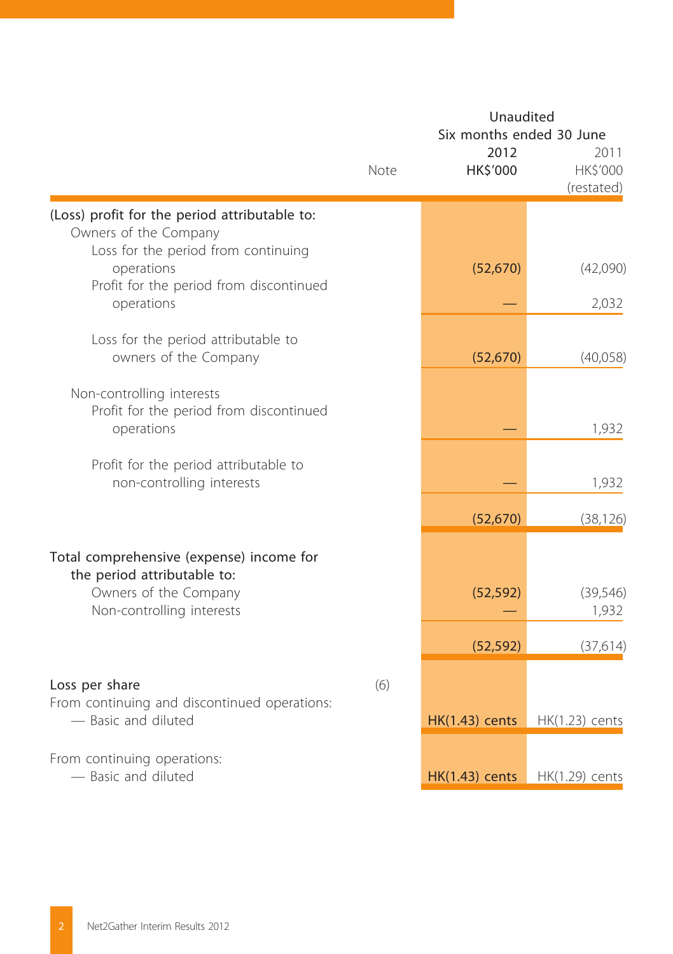|                                                                                    | Note | Unaudited<br>Six months ended 30 June<br>2012<br>HK\$'000 | 2011<br>HK\$'000<br>(restated) |
|------------------------------------------------------------------------------------|------|-----------------------------------------------------------|--------------------------------|
| (Loss) profit for the period attributable to:                                      |      |                                                           |                                |
| Owners of the Company<br>Loss for the period from continuing<br>operations         |      | (52, 670)                                                 | (42,090)                       |
| Profit for the period from discontinued<br>operations                              |      |                                                           | 2,032                          |
| Loss for the period attributable to<br>owners of the Company                       |      | (52, 670)                                                 | (40,058)                       |
| Non-controlling interests<br>Profit for the period from discontinued<br>operations |      |                                                           | 1,932                          |
| Profit for the period attributable to<br>non-controlling interests                 |      |                                                           | 1,932                          |
|                                                                                    |      | (52, 670)                                                 | (38, 126)                      |
| Total comprehensive (expense) income for<br>the period attributable to:            |      |                                                           |                                |
| Owners of the Company<br>Non-controlling interests                                 |      | (52, 592)                                                 | (39, 546)<br>1,932             |
|                                                                                    |      | (52, 592)                                                 | (37,614)                       |
| Loss per share                                                                     | (6)  |                                                           |                                |
| From continuing and discontinued operations:<br>- Basic and diluted                |      | $HK(1.43)$ cents                                          | HK(1.23) cents                 |
| From continuing operations:<br>- Basic and diluted                                 |      | <b>HK(1.43)</b> cents                                     | HK(1.29) cents                 |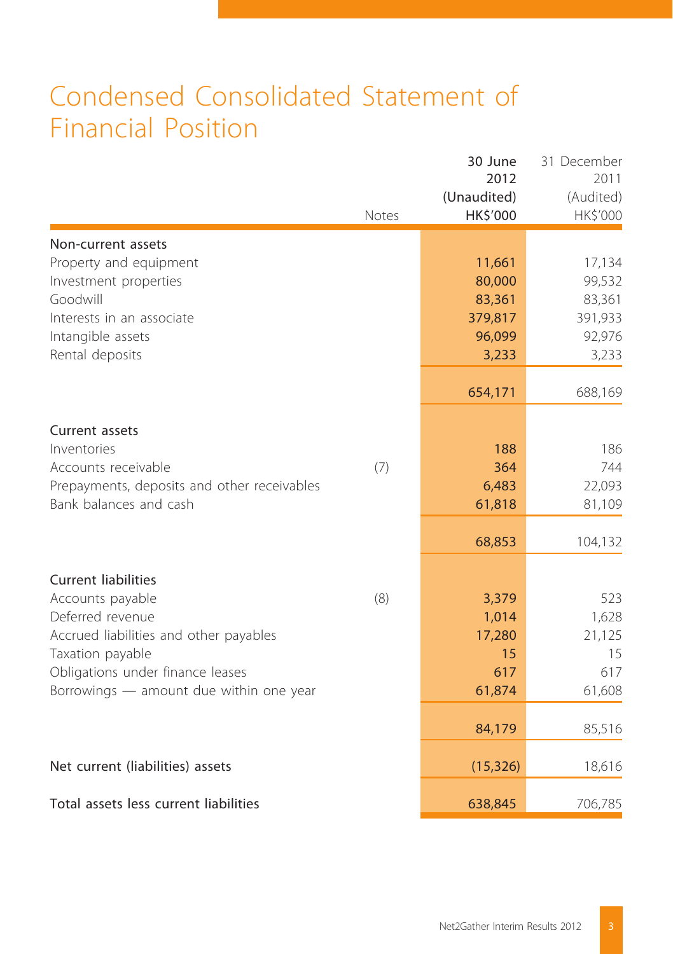## Condensed Consolidated Statement of Financial Position

|                                                      | Notes | 30 June<br>2012<br>(Unaudited)<br>HK\$'000 | 31 December<br>2011<br>(Audited)<br>HK\$'000 |
|------------------------------------------------------|-------|--------------------------------------------|----------------------------------------------|
| Non-current assets                                   |       |                                            |                                              |
| Property and equipment                               |       | 11,661                                     | 17,134                                       |
| Investment properties                                |       | 80,000                                     | 99,532                                       |
| Goodwill                                             |       | 83,361                                     | 83,361                                       |
| Interests in an associate                            |       | 379,817                                    | 391,933                                      |
| Intangible assets                                    |       | 96,099                                     | 92,976                                       |
| Rental deposits                                      |       | 3,233                                      | 3,233                                        |
|                                                      |       | 654,171                                    | 688,169                                      |
| Current assets                                       |       |                                            |                                              |
| Inventories                                          |       | 188                                        | 186                                          |
| Accounts receivable                                  | (7)   | 364                                        | 744                                          |
| Prepayments, deposits and other receivables          |       | 6,483                                      | 22,093                                       |
| Bank balances and cash                               |       | 61,818                                     | 81,109                                       |
|                                                      |       | 68,853                                     | 104,132                                      |
|                                                      |       |                                            |                                              |
| <b>Current liabilities</b>                           |       |                                            |                                              |
| Accounts payable                                     | (8)   | 3,379                                      | 523                                          |
| Deferred revenue                                     |       | 1,014                                      | 1,628                                        |
| Accrued liabilities and other payables               |       | 17,280<br>15                               | 21,125<br>15                                 |
| Taxation payable<br>Obligations under finance leases |       | 617                                        | 617                                          |
| Borrowings - amount due within one year              |       | 61,874                                     | 61,608                                       |
|                                                      |       |                                            |                                              |
|                                                      |       | 84,179                                     | 85,516                                       |
| Net current (liabilities) assets                     |       | (15, 326)                                  | 18,616                                       |
| Total assets less current liabilities                |       | 638,845                                    | 706,785                                      |
|                                                      |       |                                            |                                              |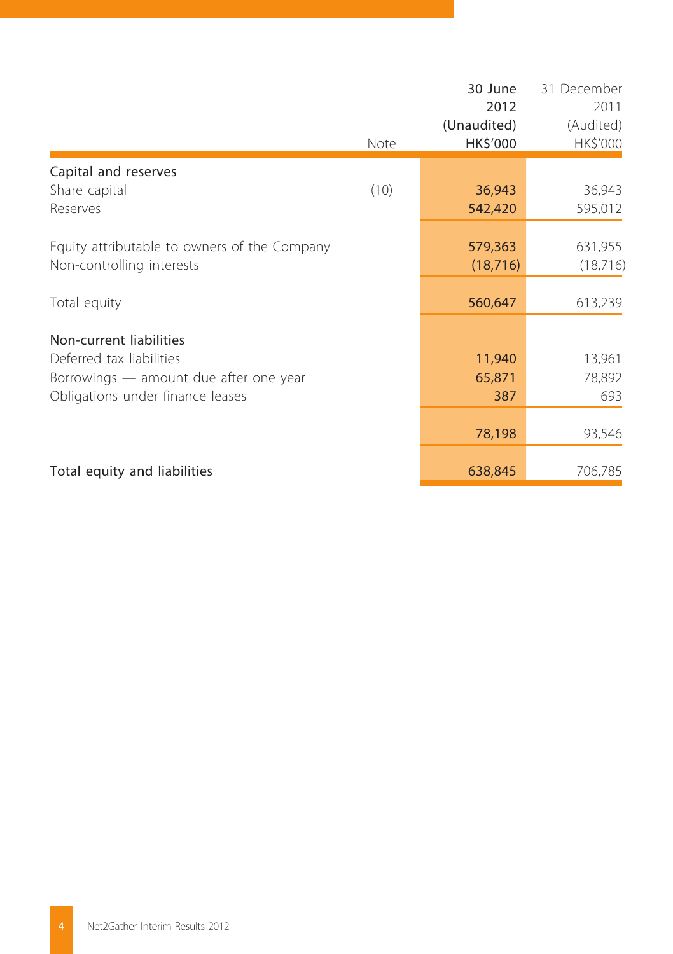|                                              | Note | 30 June<br>2012<br>(Unaudited)<br>HK\$'000 | 31 December<br>2011<br>(Audited)<br>HK\$'000 |
|----------------------------------------------|------|--------------------------------------------|----------------------------------------------|
| Capital and reserves                         |      |                                            |                                              |
| Share capital                                | (10) | 36,943                                     | 36,943                                       |
| Reserves                                     |      | 542,420                                    | 595,012                                      |
| Equity attributable to owners of the Company |      | 579,363                                    | 631,955                                      |
| Non-controlling interests                    |      | (18, 716)                                  | (18, 716)                                    |
| Total equity                                 |      | 560,647                                    | 613,239                                      |
| Non-current liabilities                      |      |                                            |                                              |
| Deferred tax liabilities                     |      | 11,940                                     | 13,961                                       |
| Borrowings — amount due after one year       |      | 65,871                                     | 78,892                                       |
| Obligations under finance leases             |      | 387                                        | 693                                          |
|                                              |      | 78,198                                     | 93,546                                       |
|                                              |      |                                            |                                              |
| Total equity and liabilities                 |      | 638,845                                    | 706,785                                      |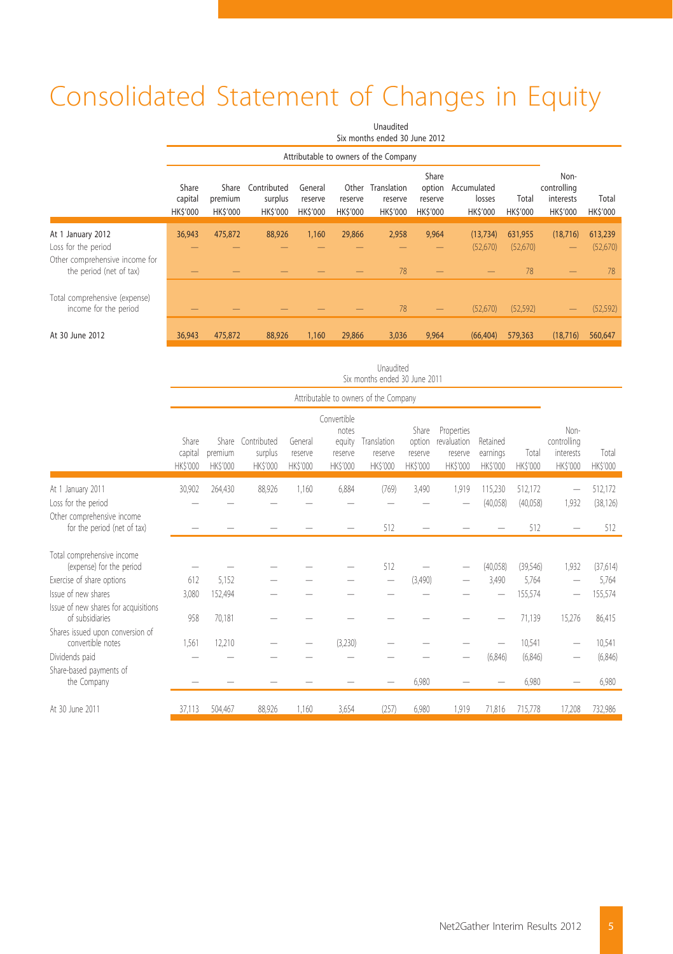# Consolidated Statement of Changes in Equity

|                                                                                  | Unaudited<br>Six months ended 30 June 2012 |                                    |                                          |                                      |                                    |                                           |                                              |                                   |                         |                                              |                   |
|----------------------------------------------------------------------------------|--------------------------------------------|------------------------------------|------------------------------------------|--------------------------------------|------------------------------------|-------------------------------------------|----------------------------------------------|-----------------------------------|-------------------------|----------------------------------------------|-------------------|
|                                                                                  | Attributable to owners of the Company      |                                    |                                          |                                      |                                    |                                           |                                              |                                   |                         |                                              |                   |
|                                                                                  | Share<br>capital<br><b>HKS'000</b>         | Share<br>premium<br><b>HKS'000</b> | Contributed<br>surplus<br><b>HKS'000</b> | General<br>reserve<br><b>HKS'000</b> | Other<br>reserve<br><b>HKS'000</b> | Translation<br>reserve<br><b>HK\$'000</b> | Share<br>option<br>reserve<br><b>HKS'000</b> | Accumulated<br>losses<br>HK\$'000 | Total<br><b>HKS'000</b> | Non-<br>controlling<br>interests<br>HK\$'000 | Total<br>HK\$'000 |
| At 1 January 2012                                                                | 36,943                                     | 475,872                            | 88.926                                   | 1.160                                | 29,866                             | 2,958                                     | 9,964                                        | (13, 734)                         | 631,955                 | (18, 716)                                    | 613,239           |
| Loss for the period<br>Other comprehensive income for<br>the period (net of tax) |                                            |                                    |                                          |                                      |                                    | 78                                        |                                              | (52,670)                          | (52,670)<br>78          | –                                            | (52,670)<br>78    |
| Total comprehensive (expense)<br>income for the period                           |                                            |                                    |                                          |                                      |                                    | 78                                        | $\qquad \qquad \longleftarrow$               | (52,670)                          | (52, 592)               | -                                            | (52, 592)         |
| At 30 June 2012                                                                  | 36,943                                     | 475.872                            | 88.926                                   | 1,160                                | 29.866                             | 3,036                                     | 9,964                                        | (66.404)                          | 579.363                 | (18, 716)                                    | 560,647           |

|                                                                        | Unaudited<br>Six months ended 30 June 2011 |                           |                                                |                                |                                                       |                                           |                                              |                                                        |                                        |                         |                                              |                      |
|------------------------------------------------------------------------|--------------------------------------------|---------------------------|------------------------------------------------|--------------------------------|-------------------------------------------------------|-------------------------------------------|----------------------------------------------|--------------------------------------------------------|----------------------------------------|-------------------------|----------------------------------------------|----------------------|
|                                                                        |                                            |                           |                                                |                                |                                                       | Attributable to owners of the Company     |                                              |                                                        |                                        |                         |                                              |                      |
|                                                                        | Share<br>capital<br><b>HKS'000</b>         | premium<br><b>HKS'000</b> | Share Contributed<br>surplus<br><b>HKS'000</b> | General<br>reserve<br>HK\$'000 | Convertible<br>notes<br>equity<br>reserve<br>HK\$'000 | Translation<br>reserve<br><b>HK\$'000</b> | Share<br>option<br>reserve<br><b>HKS'000</b> | Properties<br>revaluation<br>reserve<br><b>HKS'000</b> | Retained<br>earnings<br><b>HKS'000</b> | Total<br><b>HKS'000</b> | Non-<br>controlling<br>interests<br>HK\$'000 | Total<br>HK\$'000    |
| At 1 January 2011<br>Loss for the period<br>Other comprehensive income | 30,902                                     | 264,430                   | 88,926                                         | 1.160                          | 6,884                                                 | (769)                                     | 3,490                                        | 1,919                                                  | 115,230<br>(40,058)                    | 512,172<br>(40,058)     | $\overline{\phantom{0}}$<br>1,932            | 512,172<br>(38, 126) |
| for the period (net of tax)                                            |                                            |                           |                                                |                                |                                                       | 512                                       |                                              |                                                        |                                        | 512                     |                                              | 512                  |
| Total comprehensive income<br>(expense) for the period                 |                                            |                           |                                                |                                |                                                       | 512                                       |                                              |                                                        | (40,058)                               | (39,546)                | 1,932                                        | (37,614)             |
| Exercise of share options                                              | 612                                        | 5,152                     |                                                |                                |                                                       |                                           | (3,490)                                      |                                                        | 3,490                                  | 5.764                   |                                              | 5,764                |
| Issue of new shares                                                    | 3.080                                      | 152.494                   |                                                |                                |                                                       |                                           |                                              |                                                        |                                        | 155,574                 |                                              | 155,574              |
| Issue of new shares for acquisitions<br>of subsidiaries                | 958                                        | 70,181                    |                                                |                                |                                                       |                                           |                                              |                                                        |                                        | 71,139                  | 15,276                                       | 86,415               |
| Shares issued upon conversion of<br>convertible notes                  | 1,561                                      | 12,210                    |                                                |                                | (3,230)                                               |                                           |                                              |                                                        |                                        | 10,541                  |                                              | 10,541               |
| Dividends paid                                                         |                                            |                           |                                                |                                |                                                       |                                           |                                              |                                                        | (6,846)                                | (6,846)                 |                                              | (6, 846)             |
| Share-based payments of<br>the Company                                 |                                            |                           |                                                |                                |                                                       |                                           | 6,980                                        |                                                        |                                        | 6,980                   |                                              | 6,980                |
| At 30 June 2011                                                        | 37.113                                     | 504,467                   | 88,926                                         | 1.160                          | 3,654                                                 | (257)                                     | 6,980                                        | 1.919                                                  | 71,816                                 | 715.778                 | 17.208                                       | 732,986              |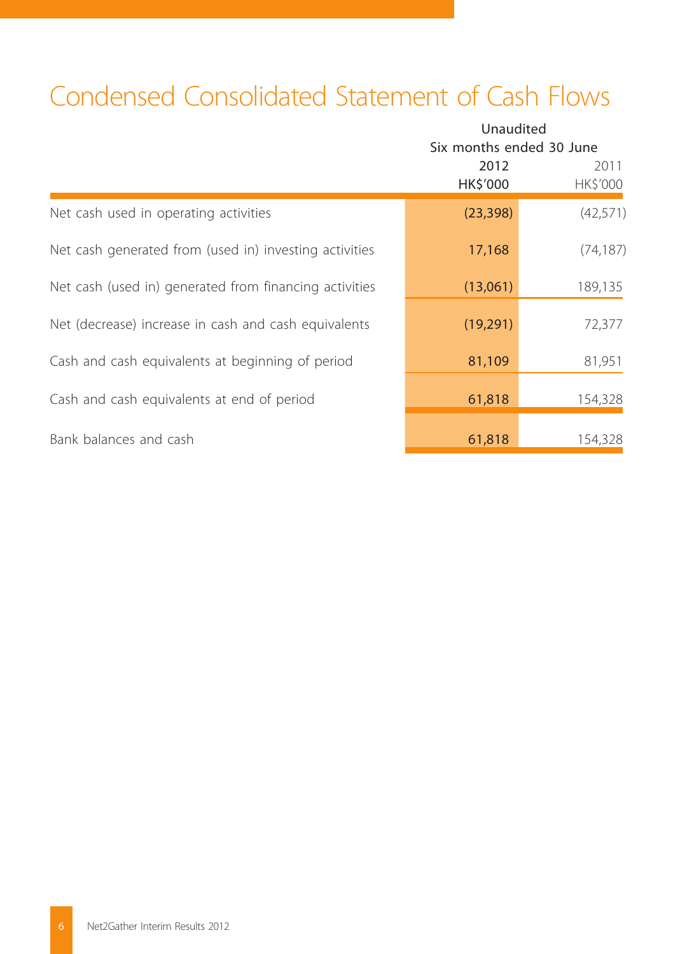# Condensed Consolidated Statement of Cash Flows

|                                                        |                  | Unaudited<br>Six months ended 30 June |  |  |  |
|--------------------------------------------------------|------------------|---------------------------------------|--|--|--|
|                                                        | 2012<br>HK\$'000 | 2011<br>HK\$'000                      |  |  |  |
| Net cash used in operating activities                  | (23, 398)        | (42,571)                              |  |  |  |
| Net cash generated from (used in) investing activities | 17,168           | (74, 187)                             |  |  |  |
| Net cash (used in) generated from financing activities | (13,061)         | 189,135                               |  |  |  |
| Net (decrease) increase in cash and cash equivalents   | (19,291)         | 72,377                                |  |  |  |
| Cash and cash equivalents at beginning of period       | 81,109           | 81,951                                |  |  |  |
| Cash and cash equivalents at end of period             | 61,818           | 154,328                               |  |  |  |
| Bank balances and cash                                 | 61,818           | 154,328                               |  |  |  |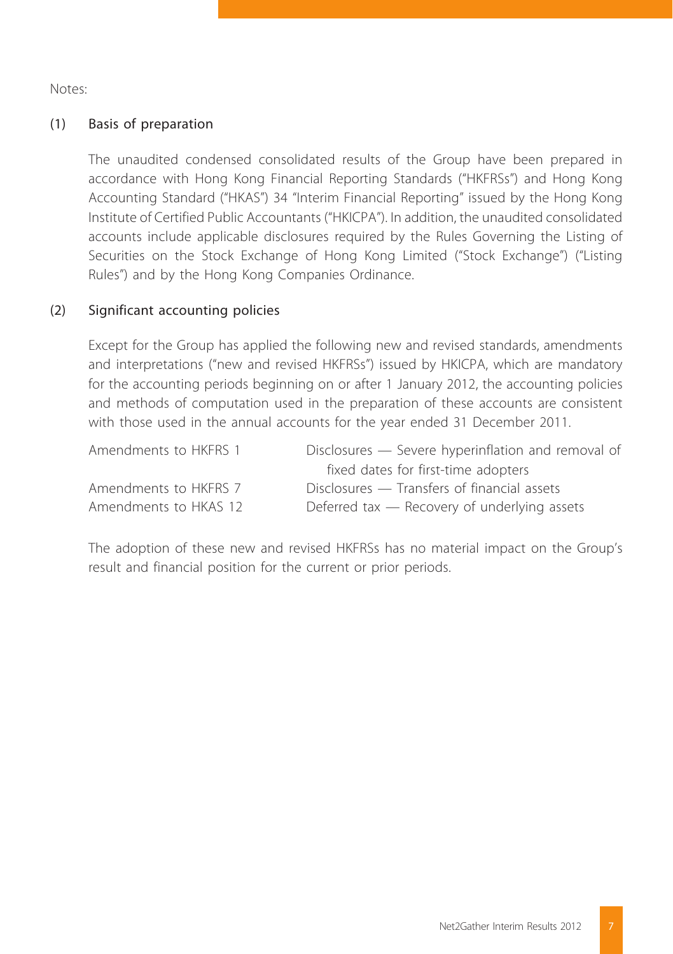Notes:

#### (1) Basis of preparation

The unaudited condensed consolidated results of the Group have been prepared in accordance with Hong Kong Financial Reporting Standards ("HKFRSs") and Hong Kong Accounting Standard ("HKAS") 34 "Interim Financial Reporting" issued by the Hong Kong Institute of Certified Public Accountants ("HKICPA"). In addition, the unaudited consolidated accounts include applicable disclosures required by the Rules Governing the Listing of Securities on the Stock Exchange of Hong Kong Limited ("Stock Exchange") ("Listing Rules") and by the Hong Kong Companies Ordinance.

#### (2) Significant accounting policies

Except for the Group has applied the following new and revised standards, amendments and interpretations ("new and revised HKFRSs") issued by HKICPA, which are mandatory for the accounting periods beginning on or after 1 January 2012, the accounting policies and methods of computation used in the preparation of these accounts are consistent with those used in the annual accounts for the year ended 31 December 2011.

| Amendments to HKFRS 1 | Disclosures - Severe hyperinflation and removal of |
|-----------------------|----------------------------------------------------|
|                       | fixed dates for first-time adopters                |
| Amendments to HKFRS 7 | Disclosures — Transfers of financial assets        |
| Amendments to HKAS 12 | Deferred tax — Recovery of underlying assets       |

The adoption of these new and revised HKFRSs has no material impact on the Group's result and financial position for the current or prior periods.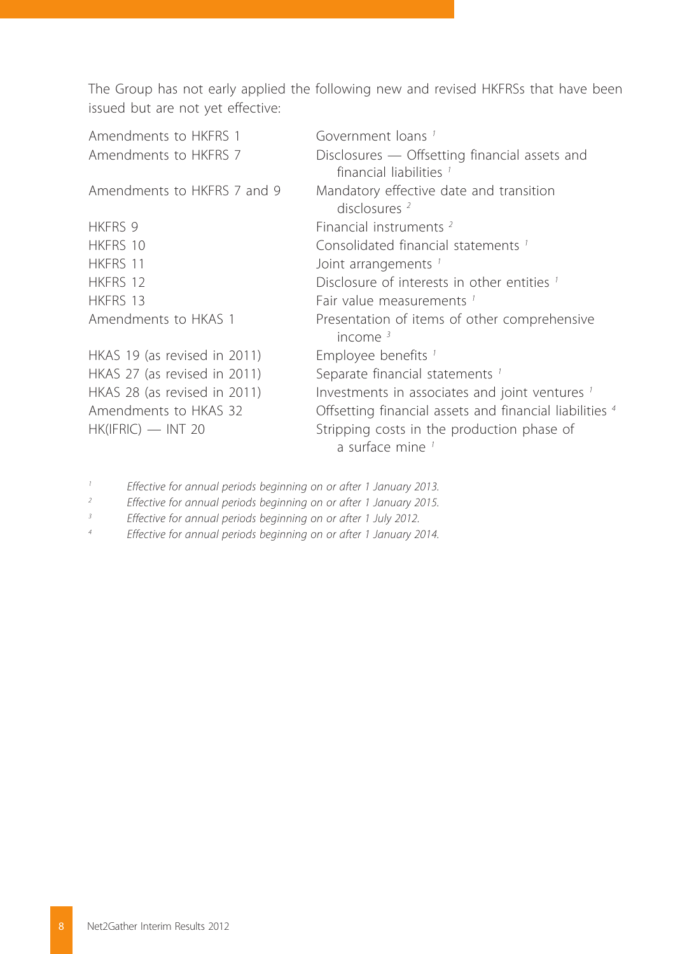The Group has not early applied the following new and revised HKFRSs that have been issued but are not yet effective:

| Amendments to HKFRS 1        | Government loans <sup>1</sup>                                                       |
|------------------------------|-------------------------------------------------------------------------------------|
| Amendments to HKFRS 7        | Disclosures - Offsetting financial assets and<br>financial liabilities <sup>1</sup> |
| Amendments to HKFRS 7 and 9  | Mandatory effective date and transition<br>disclosures $2$                          |
| HKFRS 9                      | Financial instruments <sup>2</sup>                                                  |
| HKFRS 10                     | Consolidated financial statements <sup>1</sup>                                      |
| HKFRS 11                     | Joint arrangements <sup>1</sup>                                                     |
| HKFRS 12                     | Disclosure of interests in other entities 1                                         |
| HKFRS 13                     | Fair value measurements 1                                                           |
| Amendments to HKAS 1         | Presentation of items of other comprehensive<br>income $3$                          |
| HKAS 19 (as revised in 2011) | Employee benefits '                                                                 |
| HKAS 27 (as revised in 2011) | Separate financial statements <sup>1</sup>                                          |
| HKAS 28 (as revised in 2011) | Investments in associates and joint ventures <sup>1</sup>                           |
| Amendments to HKAS 32        | Offsetting financial assets and financial liabilities 4                             |
| $HK(IFRIC)$ — INT 20         | Stripping costs in the production phase of<br>a surface mine <sup>1</sup>           |

*1 Effective for annual periods beginning on or after 1 January 2013.*

*2 Effective for annual periods beginning on or after 1 January 2015.*

*3 Effective for annual periods beginning on or after 1 July 2012.*

*4 Effective for annual periods beginning on or after 1 January 2014.*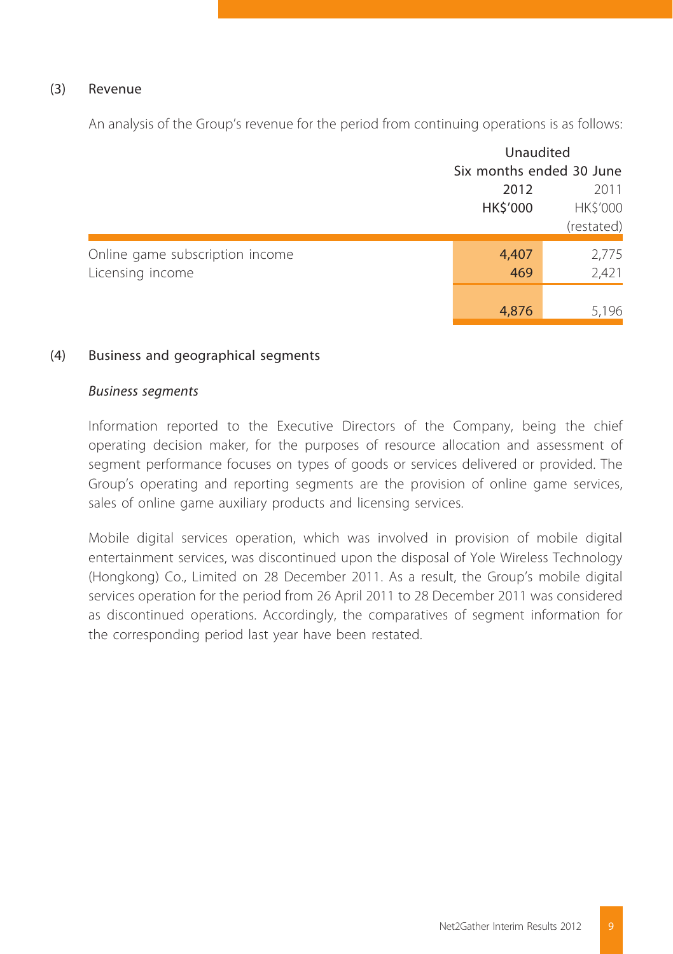#### (3) Revenue

An analysis of the Group's revenue for the period from continuing operations is as follows:

|                                 |                          | Unaudited  |  |  |
|---------------------------------|--------------------------|------------|--|--|
|                                 | Six months ended 30 June |            |  |  |
|                                 | 2012                     | 2011       |  |  |
|                                 | HK\$'000                 | HK\$'000   |  |  |
|                                 |                          | (restated) |  |  |
| Online game subscription income | 4,407                    | 2,775      |  |  |
| Licensing income                | 469                      | 2,421      |  |  |
|                                 |                          |            |  |  |
|                                 | 4,876                    | 5,196      |  |  |

#### (4) Business and geographical segments

#### *Business segments*

Information reported to the Executive Directors of the Company, being the chief operating decision maker, for the purposes of resource allocation and assessment of segment performance focuses on types of goods or services delivered or provided. The Group's operating and reporting segments are the provision of online game services, sales of online game auxiliary products and licensing services.

Mobile digital services operation, which was involved in provision of mobile digital entertainment services, was discontinued upon the disposal of Yole Wireless Technology (Hongkong) Co., Limited on 28 December 2011. As a result, the Group's mobile digital services operation for the period from 26 April 2011 to 28 December 2011 was considered as discontinued operations. Accordingly, the comparatives of segment information for the corresponding period last year have been restated.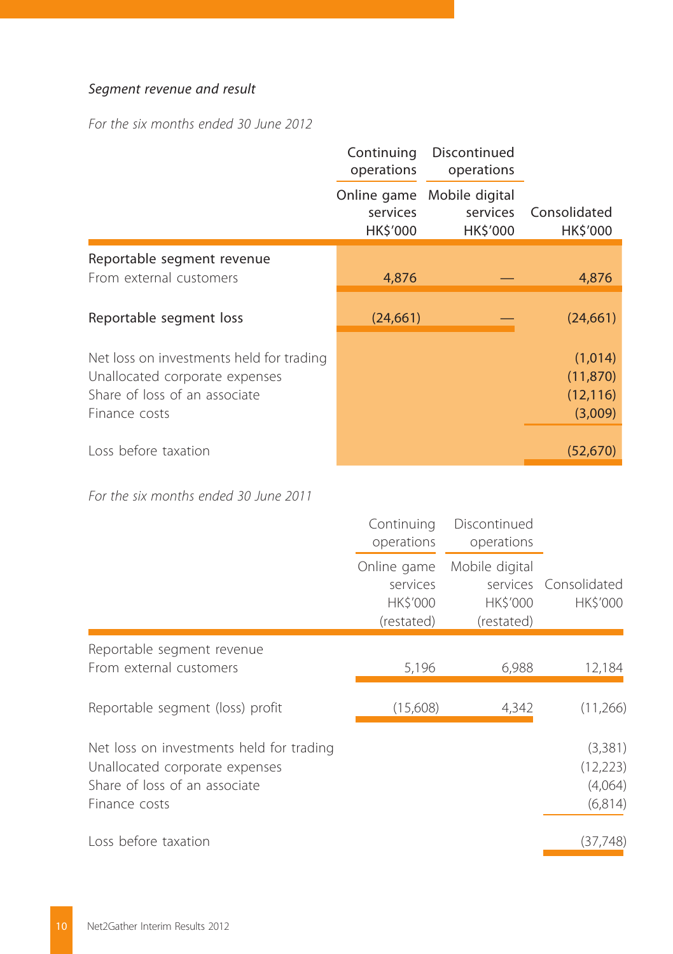### *Segment revenue and result*

*For the six months ended 30 June 2012*

|                                                                                                                              | Continuing<br>operations | Discontinued<br>operations                         |                                              |
|------------------------------------------------------------------------------------------------------------------------------|--------------------------|----------------------------------------------------|----------------------------------------------|
|                                                                                                                              | services<br>HK\$'000     | Online game Mobile digital<br>services<br>HK\$'000 | Consolidated<br>HK\$'000                     |
| Reportable segment revenue<br>From external customers                                                                        | 4,876                    |                                                    | 4,876                                        |
| Reportable segment loss                                                                                                      | (24, 661)                |                                                    | (24, 661)                                    |
| Net loss on investments held for trading<br>Unallocated corporate expenses<br>Share of loss of an associate<br>Finance costs |                          |                                                    | (1,014)<br>(11, 870)<br>(12, 116)<br>(3,009) |
| Loss before taxation                                                                                                         |                          |                                                    | (52, 670)                                    |

*For the six months ended 30 June 2011*

|                                                                                                                              | Continuing<br>operations                          | Discontinued<br>operations               |                                            |
|------------------------------------------------------------------------------------------------------------------------------|---------------------------------------------------|------------------------------------------|--------------------------------------------|
|                                                                                                                              | Online game<br>services<br>HK\$'000<br>(restated) | Mobile digital<br>HK\$'000<br>(restated) | services Consolidated<br>HK\$'000          |
| Reportable segment revenue<br>From external customers                                                                        | 5,196                                             | 6,988                                    | 12,184                                     |
| Reportable segment (loss) profit                                                                                             | (15,608)                                          | 4,342                                    | (11,266)                                   |
| Net loss on investments held for trading<br>Unallocated corporate expenses<br>Share of loss of an associate<br>Finance costs |                                                   |                                          | (3,381)<br>(12, 223)<br>(4,064)<br>(6,814) |
| Loss before taxation                                                                                                         |                                                   |                                          | (37,748)                                   |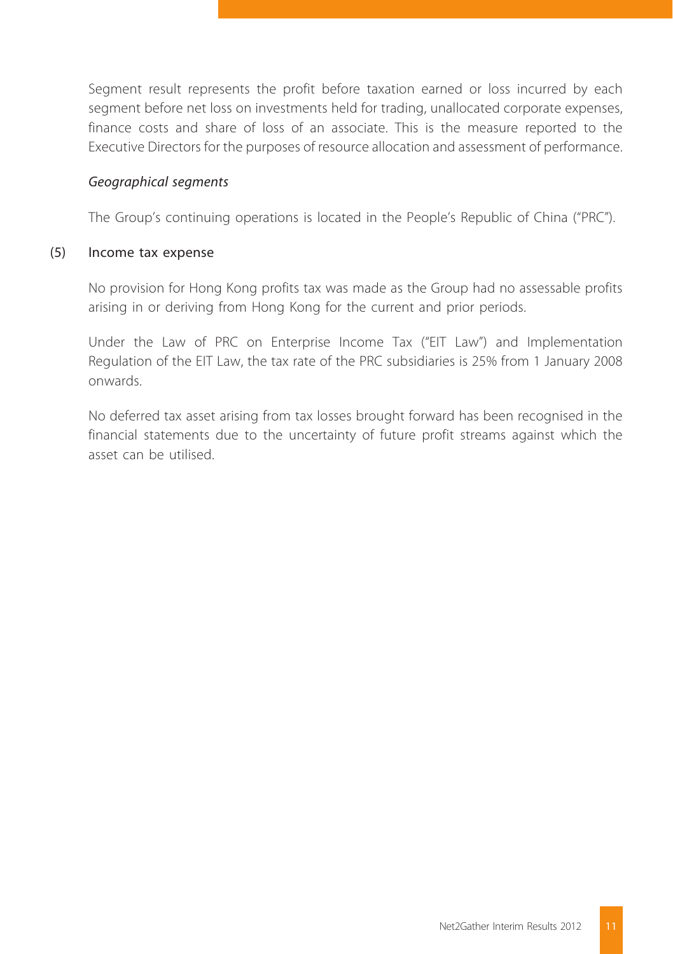Segment result represents the profit before taxation earned or loss incurred by each segment before net loss on investments held for trading, unallocated corporate expenses, finance costs and share of loss of an associate. This is the measure reported to the Executive Directors for the purposes of resource allocation and assessment of performance.

#### *Geographical segments*

The Group's continuing operations is located in the People's Republic of China ("PRC").

#### (5) Income tax expense

No provision for Hong Kong profits tax was made as the Group had no assessable profits arising in or deriving from Hong Kong for the current and prior periods.

Under the Law of PRC on Enterprise Income Tax ("EIT Law") and Implementation Regulation of the EIT Law, the tax rate of the PRC subsidiaries is 25% from 1 January 2008 onwards.

No deferred tax asset arising from tax losses brought forward has been recognised in the financial statements due to the uncertainty of future profit streams against which the asset can be utilised.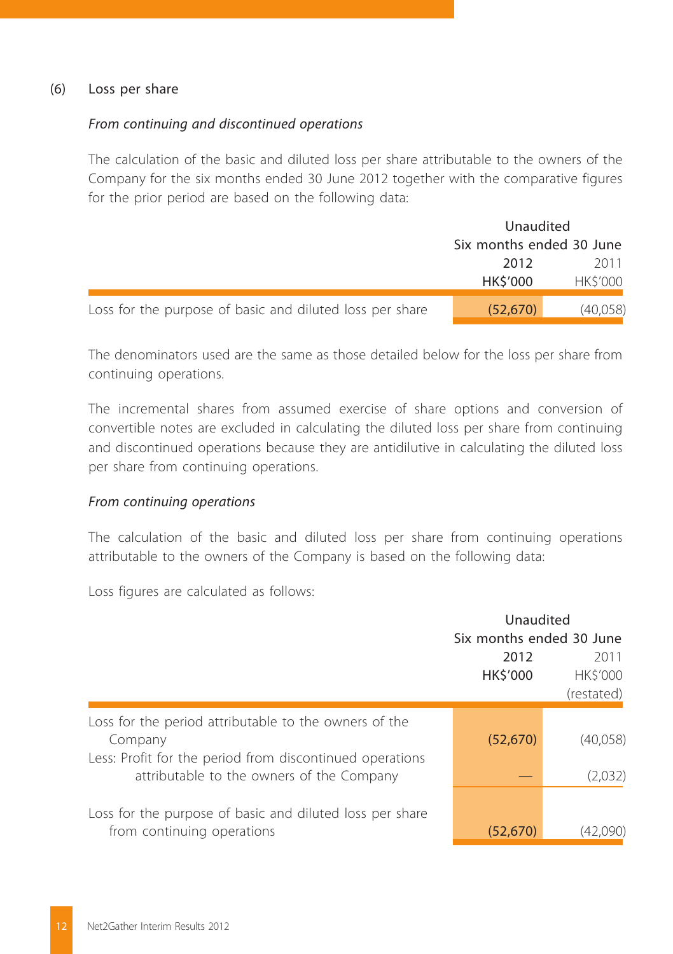#### (6) Loss per share

#### *From continuing and discontinued operations*

The calculation of the basic and diluted loss per share attributable to the owners of the Company for the six months ended 30 June 2012 together with the comparative figures for the prior period are based on the following data:

|                                                          | Unaudited                |                |  |
|----------------------------------------------------------|--------------------------|----------------|--|
|                                                          | Six months ended 30 June |                |  |
|                                                          | 2012                     | 2011           |  |
|                                                          | <b>HKS'000</b>           | <b>HKS'000</b> |  |
| Loss for the purpose of basic and diluted loss per share | (52, 670)                | (40,058)       |  |

The denominators used are the same as those detailed below for the loss per share from continuing operations.

The incremental shares from assumed exercise of share options and conversion of convertible notes are excluded in calculating the diluted loss per share from continuing and discontinued operations because they are antidilutive in calculating the diluted loss per share from continuing operations.

#### *From continuing operations*

The calculation of the basic and diluted loss per share from continuing operations attributable to the owners of the Company is based on the following data:

Loss figures are calculated as follows:

|                                                                                                                                                                           | Unaudited<br>Six months ended 30 June<br>2012<br>HK\$'000 | 2011<br><b>HKS'000</b><br>(restated) |
|---------------------------------------------------------------------------------------------------------------------------------------------------------------------------|-----------------------------------------------------------|--------------------------------------|
| Loss for the period attributable to the owners of the<br>Company<br>Less: Profit for the period from discontinued operations<br>attributable to the owners of the Company | (52, 670)                                                 | (40,058)<br>(2,032)                  |
| Loss for the purpose of basic and diluted loss per share<br>from continuing operations                                                                                    | (52, 670)                                                 |                                      |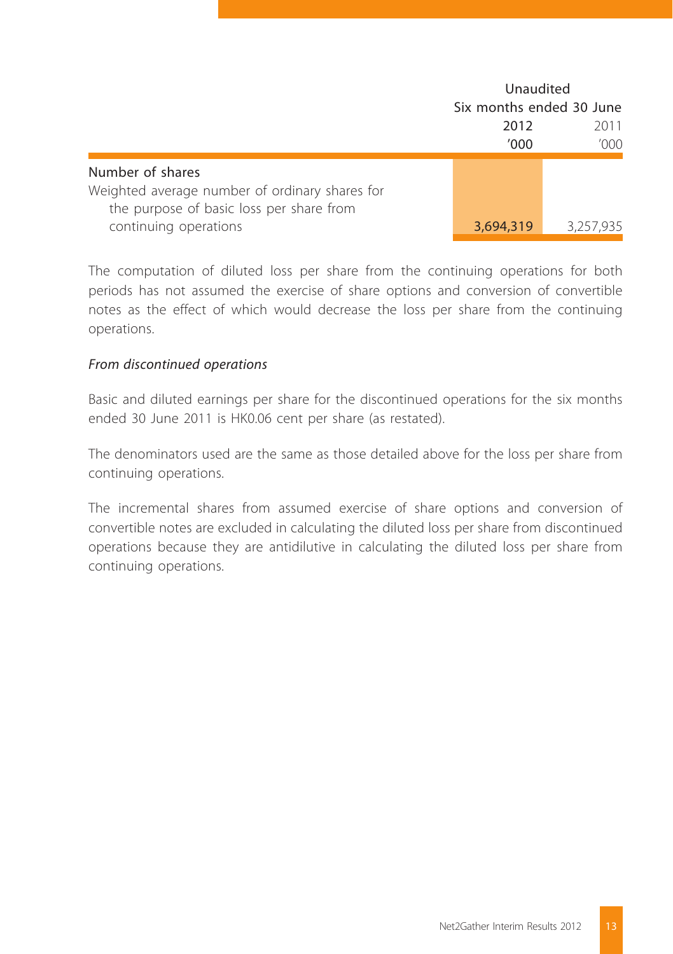|                                                |           | Unaudited                |  |  |
|------------------------------------------------|-----------|--------------------------|--|--|
|                                                |           | Six months ended 30 June |  |  |
|                                                | 2012      | 2011                     |  |  |
|                                                | '000      | '000                     |  |  |
| Number of shares                               |           |                          |  |  |
| Weighted average number of ordinary shares for |           |                          |  |  |
| the purpose of basic loss per share from       |           |                          |  |  |
| continuing operations                          | 3,694,319 | 3,257,935                |  |  |

The computation of diluted loss per share from the continuing operations for both periods has not assumed the exercise of share options and conversion of convertible notes as the effect of which would decrease the loss per share from the continuing operations.

#### *From discontinued operations*

Basic and diluted earnings per share for the discontinued operations for the six months ended 30 June 2011 is HK0.06 cent per share (as restated).

The denominators used are the same as those detailed above for the loss per share from continuing operations.

The incremental shares from assumed exercise of share options and conversion of convertible notes are excluded in calculating the diluted loss per share from discontinued operations because they are antidilutive in calculating the diluted loss per share from continuing operations.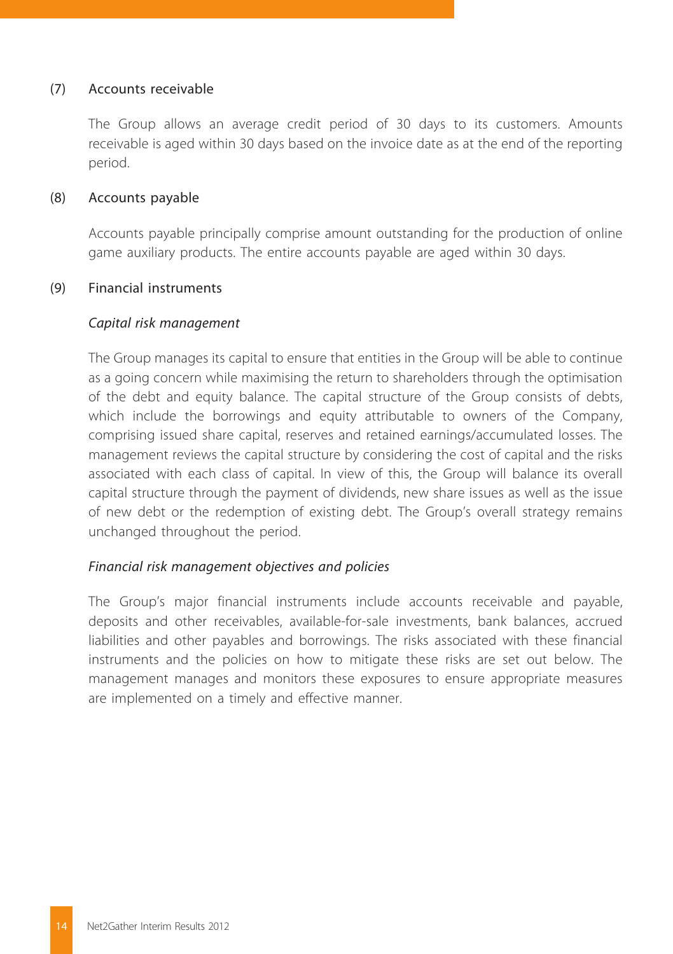#### (7) Accounts receivable

The Group allows an average credit period of 30 days to its customers. Amounts receivable is aged within 30 days based on the invoice date as at the end of the reporting period.

#### (8) Accounts payable

Accounts payable principally comprise amount outstanding for the production of online game auxiliary products. The entire accounts payable are aged within 30 days.

#### (9) Financial instruments

#### *Capital risk management*

The Group manages its capital to ensure that entities in the Group will be able to continue as a going concern while maximising the return to shareholders through the optimisation of the debt and equity balance. The capital structure of the Group consists of debts, which include the borrowings and equity attributable to owners of the Company, comprising issued share capital, reserves and retained earnings/accumulated losses. The management reviews the capital structure by considering the cost of capital and the risks associated with each class of capital. In view of this, the Group will balance its overall capital structure through the payment of dividends, new share issues as well as the issue of new debt or the redemption of existing debt. The Group's overall strategy remains unchanged throughout the period.

#### *Financial risk management objectives and policies*

The Group's major financial instruments include accounts receivable and payable, deposits and other receivables, available-for-sale investments, bank balances, accrued liabilities and other payables and borrowings. The risks associated with these financial instruments and the policies on how to mitigate these risks are set out below. The management manages and monitors these exposures to ensure appropriate measures are implemented on a timely and effective manner.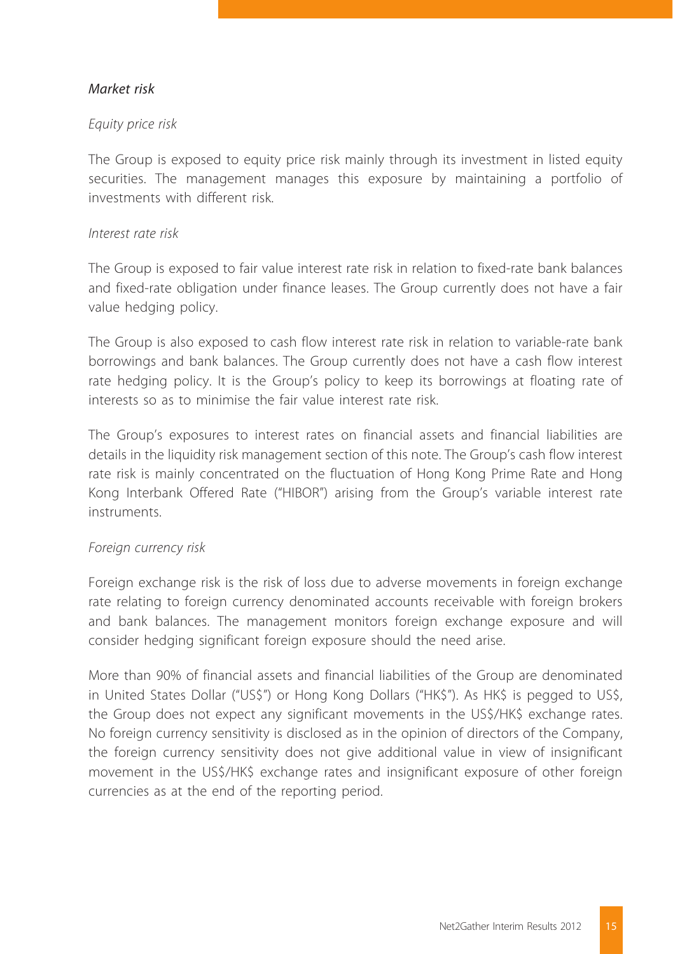#### *Market risk*

#### *Equity price risk*

The Group is exposed to equity price risk mainly through its investment in listed equity securities. The management manages this exposure by maintaining a portfolio of investments with different risk.

#### *Interest rate risk*

The Group is exposed to fair value interest rate risk in relation to fixed-rate bank balances and fixed-rate obligation under finance leases. The Group currently does not have a fair value hedging policy.

The Group is also exposed to cash flow interest rate risk in relation to variable-rate bank borrowings and bank balances. The Group currently does not have a cash flow interest rate hedging policy. It is the Group's policy to keep its borrowings at floating rate of interests so as to minimise the fair value interest rate risk.

The Group's exposures to interest rates on financial assets and financial liabilities are details in the liquidity risk management section of this note. The Group's cash flow interest rate risk is mainly concentrated on the fluctuation of Hong Kong Prime Rate and Hong Kong Interbank Offered Rate ("HIBOR") arising from the Group's variable interest rate instruments.

#### *Foreign currency risk*

Foreign exchange risk is the risk of loss due to adverse movements in foreign exchange rate relating to foreign currency denominated accounts receivable with foreign brokers and bank balances. The management monitors foreign exchange exposure and will consider hedging significant foreign exposure should the need arise.

More than 90% of financial assets and financial liabilities of the Group are denominated in United States Dollar ("US\$") or Hong Kong Dollars ("HK\$"). As HK\$ is pegged to US\$, the Group does not expect any significant movements in the US\$/HK\$ exchange rates. No foreign currency sensitivity is disclosed as in the opinion of directors of the Company, the foreign currency sensitivity does not give additional value in view of insignificant movement in the US\$/HK\$ exchange rates and insignificant exposure of other foreign currencies as at the end of the reporting period.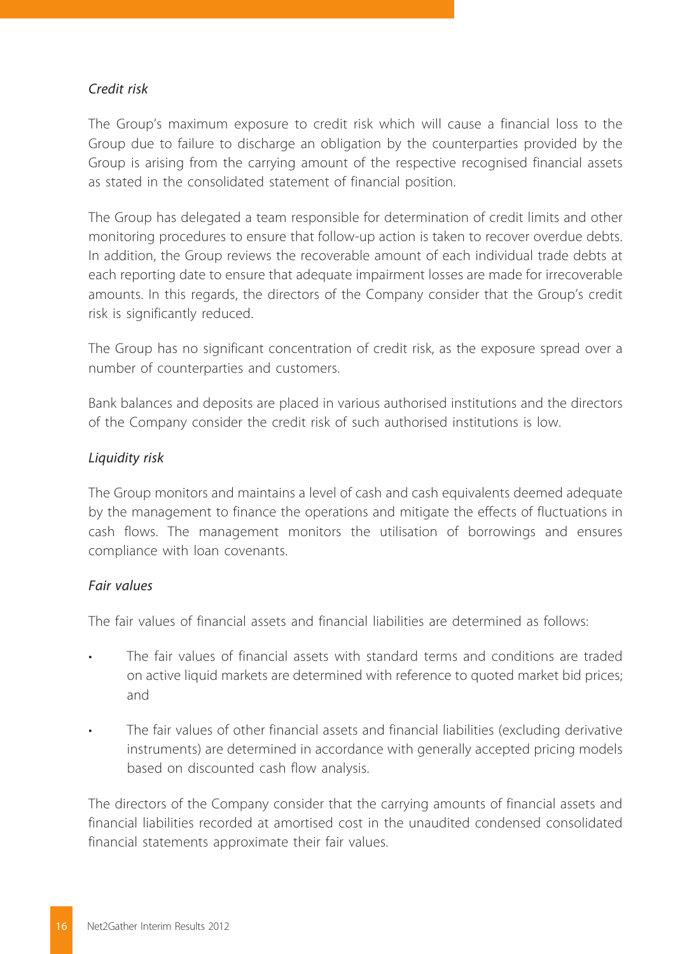#### *Credit risk*

The Group's maximum exposure to credit risk which will cause a financial loss to the Group due to failure to discharge an obligation by the counterparties provided by the Group is arising from the carrying amount of the respective recognised financial assets as stated in the consolidated statement of financial position.

The Group has delegated a team responsible for determination of credit limits and other monitoring procedures to ensure that follow-up action is taken to recover overdue debts. In addition, the Group reviews the recoverable amount of each individual trade debts at each reporting date to ensure that adequate impairment losses are made for irrecoverable amounts. In this regards, the directors of the Company consider that the Group's credit risk is significantly reduced.

The Group has no significant concentration of credit risk, as the exposure spread over a number of counterparties and customers.

Bank balances and deposits are placed in various authorised institutions and the directors of the Company consider the credit risk of such authorised institutions is low.

#### *Liquidity risk*

The Group monitors and maintains a level of cash and cash equivalents deemed adequate by the management to finance the operations and mitigate the effects of fluctuations in cash flows. The management monitors the utilisation of borrowings and ensures compliance with loan covenants.

#### *Fair values*

The fair values of financial assets and financial liabilities are determined as follows:

- The fair values of financial assets with standard terms and conditions are traded on active liquid markets are determined with reference to quoted market bid prices; and
- The fair values of other financial assets and financial liabilities (excluding derivative instruments) are determined in accordance with generally accepted pricing models based on discounted cash flow analysis.

The directors of the Company consider that the carrying amounts of financial assets and financial liabilities recorded at amortised cost in the unaudited condensed consolidated financial statements approximate their fair values.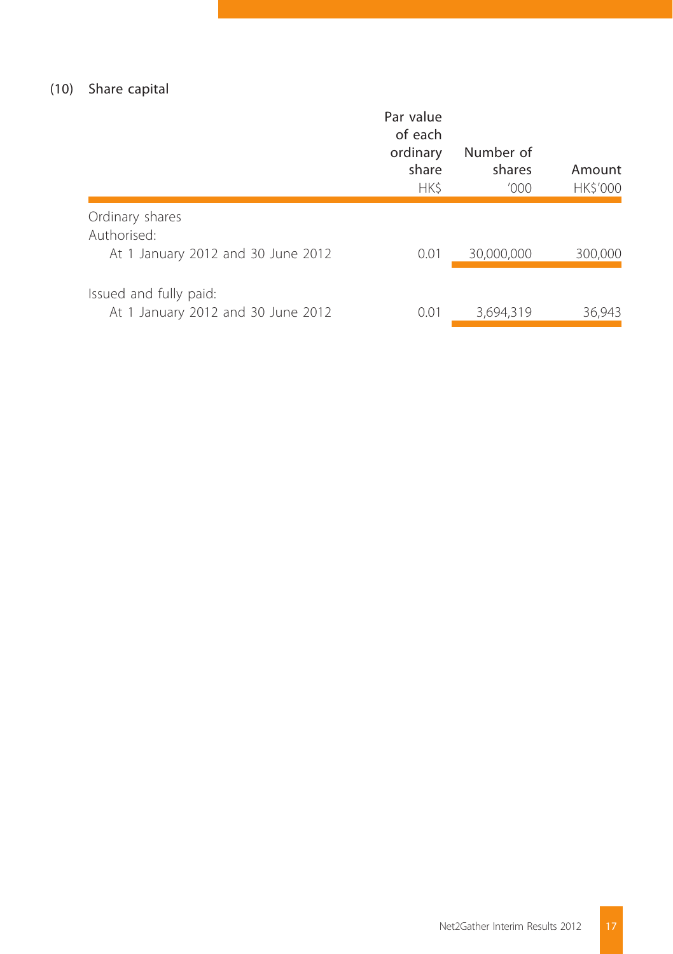### (10) Share capital

|                                                              | Par value<br>of each<br>ordinary<br>share<br>HK\$ | Number of<br>shares<br>'000 | Amount<br>HK\$'000 |
|--------------------------------------------------------------|---------------------------------------------------|-----------------------------|--------------------|
| Ordinary shares<br>Authorised:                               |                                                   |                             |                    |
| At 1 January 2012 and 30 June 2012                           | 0.01                                              | 30,000,000                  | 300,000            |
| Issued and fully paid:<br>At 1 January 2012 and 30 June 2012 | 0.01                                              | 3.694.319                   | 36.943             |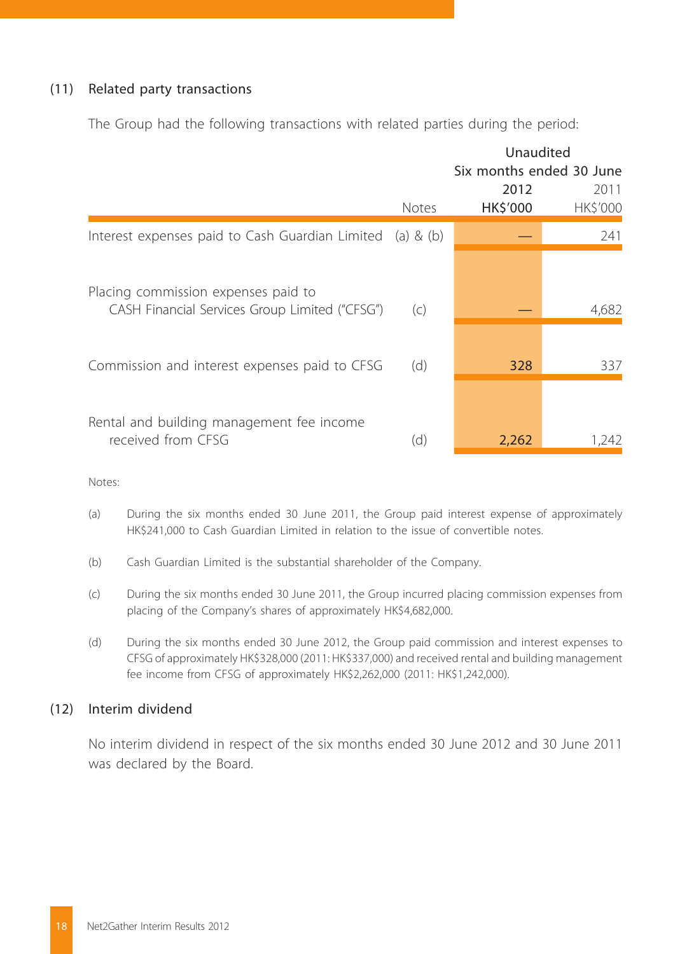#### (11) Related party transactions

The Group had the following transactions with related parties during the period:

|                                                              | Unaudited                |                |  |
|--------------------------------------------------------------|--------------------------|----------------|--|
|                                                              | Six months ended 30 June |                |  |
|                                                              | 2012                     | 2011           |  |
| <b>Notes</b>                                                 | HK\$'000                 | <b>HKS'000</b> |  |
| Interest expenses paid to Cash Guardian Limited<br>(a) & (b) |                          | 241            |  |
|                                                              |                          | 4,682          |  |
|                                                              |                          |                |  |
| (d)                                                          | 328                      | 337            |  |
| (d)                                                          | 2,262                    | 1,242          |  |
|                                                              | (C)                      |                |  |

Notes:

- (a) During the six months ended 30 June 2011, the Group paid interest expense of approximately HK\$241,000 to Cash Guardian Limited in relation to the issue of convertible notes.
- (b) Cash Guardian Limited is the substantial shareholder of the Company.
- (c) During the six months ended 30 June 2011, the Group incurred placing commission expenses from placing of the Company's shares of approximately HK\$4,682,000.
- (d) During the six months ended 30 June 2012, the Group paid commission and interest expenses to CFSG of approximately HK\$328,000 (2011: HK\$337,000) and received rental and building management fee income from CFSG of approximately HK\$2,262,000 (2011: HK\$1,242,000).

#### (12) Interim dividend

No interim dividend in respect of the six months ended 30 June 2012 and 30 June 2011 was declared by the Board.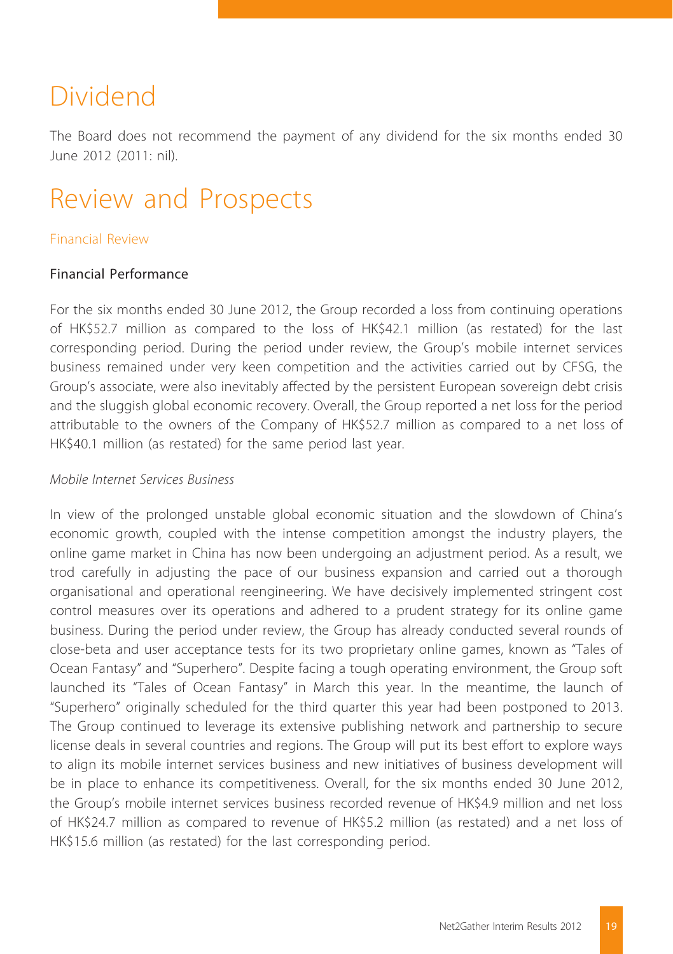## Dividend

The Board does not recommend the payment of any dividend for the six months ended 30 June 2012 (2011: nil).

# Review and Prospects

#### Financial Review

#### Financial Performance

For the six months ended 30 June 2012, the Group recorded a loss from continuing operations of HK\$52.7 million as compared to the loss of HK\$42.1 million (as restated) for the last corresponding period. During the period under review, the Group's mobile internet services business remained under very keen competition and the activities carried out by CFSG, the Group's associate, were also inevitably affected by the persistent European sovereign debt crisis and the sluggish global economic recovery. Overall, the Group reported a net loss for the period attributable to the owners of the Company of HK\$52.7 million as compared to a net loss of HK\$40.1 million (as restated) for the same period last year.

#### *Mobile Internet Services Business*

In view of the prolonged unstable global economic situation and the slowdown of China's economic growth, coupled with the intense competition amongst the industry players, the online game market in China has now been undergoing an adjustment period. As a result, we trod carefully in adjusting the pace of our business expansion and carried out a thorough organisational and operational reengineering. We have decisively implemented stringent cost control measures over its operations and adhered to a prudent strategy for its online game business. During the period under review, the Group has already conducted several rounds of close-beta and user acceptance tests for its two proprietary online games, known as "Tales of Ocean Fantasy" and "Superhero". Despite facing a tough operating environment, the Group soft launched its "Tales of Ocean Fantasy" in March this year. In the meantime, the launch of "Superhero" originally scheduled for the third quarter this year had been postponed to 2013. The Group continued to leverage its extensive publishing network and partnership to secure license deals in several countries and regions. The Group will put its best effort to explore ways to align its mobile internet services business and new initiatives of business development will be in place to enhance its competitiveness. Overall, for the six months ended 30 June 2012, the Group's mobile internet services business recorded revenue of HK\$4.9 million and net loss of HK\$24.7 million as compared to revenue of HK\$5.2 million (as restated) and a net loss of HK\$15.6 million (as restated) for the last corresponding period.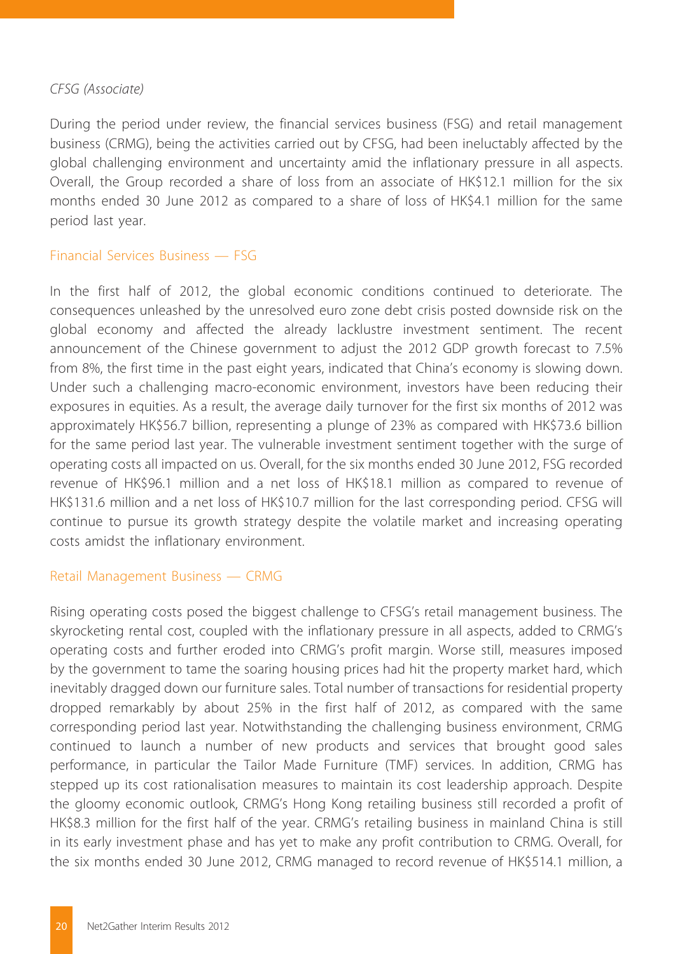#### *CFSG (Associate)*

During the period under review, the financial services business (FSG) and retail management business (CRMG), being the activities carried out by CFSG, had been ineluctably affected by the global challenging environment and uncertainty amid the inflationary pressure in all aspects. Overall, the Group recorded a share of loss from an associate of HK\$12.1 million for the six months ended 30 June 2012 as compared to a share of loss of HK\$4.1 million for the same period last year.

#### Financial Services Business — FSG

In the first half of 2012, the global economic conditions continued to deteriorate. The consequences unleashed by the unresolved euro zone debt crisis posted downside risk on the global economy and affected the already lacklustre investment sentiment. The recent announcement of the Chinese government to adjust the 2012 GDP growth forecast to 7.5% from 8%, the first time in the past eight years, indicated that China's economy is slowing down. Under such a challenging macro-economic environment, investors have been reducing their exposures in equities. As a result, the average daily turnover for the first six months of 2012 was approximately HK\$56.7 billion, representing a plunge of 23% as compared with HK\$73.6 billion for the same period last year. The vulnerable investment sentiment together with the surge of operating costs all impacted on us. Overall, for the six months ended 30 June 2012, FSG recorded revenue of HK\$96.1 million and a net loss of HK\$18.1 million as compared to revenue of HK\$131.6 million and a net loss of HK\$10.7 million for the last corresponding period. CFSG will continue to pursue its growth strategy despite the volatile market and increasing operating costs amidst the inflationary environment.

#### Retail Management Business — CRMG

Rising operating costs posed the biggest challenge to CFSG's retail management business. The skyrocketing rental cost, coupled with the inflationary pressure in all aspects, added to CRMG's operating costs and further eroded into CRMG's profit margin. Worse still, measures imposed by the government to tame the soaring housing prices had hit the property market hard, which inevitably dragged down our furniture sales. Total number of transactions for residential property dropped remarkably by about 25% in the first half of 2012, as compared with the same corresponding period last year. Notwithstanding the challenging business environment, CRMG continued to launch a number of new products and services that brought good sales performance, in particular the Tailor Made Furniture (TMF) services. In addition, CRMG has stepped up its cost rationalisation measures to maintain its cost leadership approach. Despite the gloomy economic outlook, CRMG's Hong Kong retailing business still recorded a profit of HK\$8.3 million for the first half of the year. CRMG's retailing business in mainland China is still in its early investment phase and has yet to make any profit contribution to CRMG. Overall, for the six months ended 30 June 2012, CRMG managed to record revenue of HK\$514.1 million, a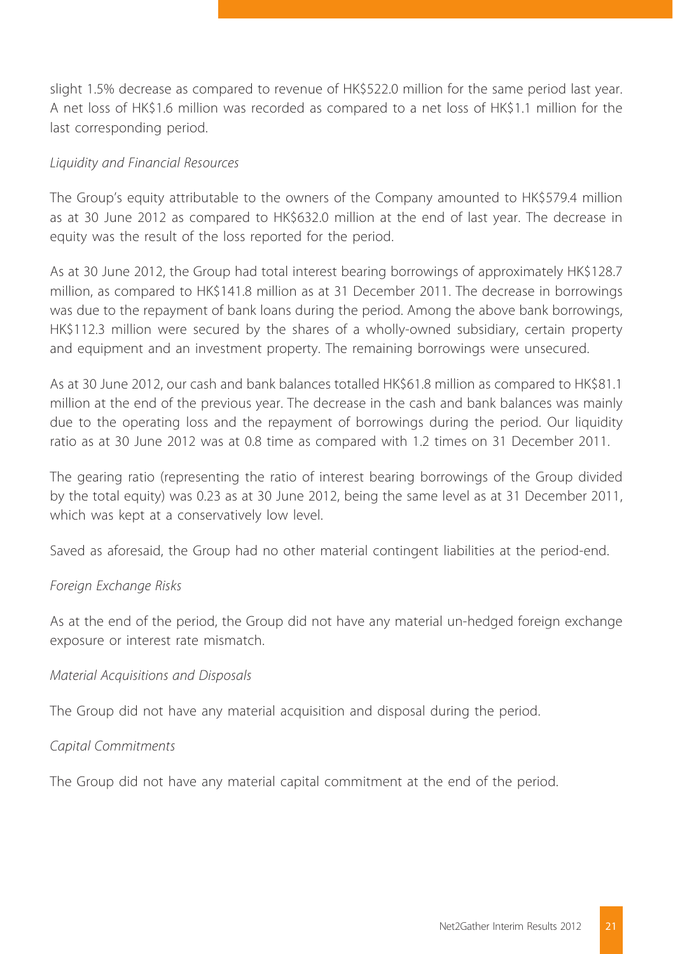slight 1.5% decrease as compared to revenue of HK\$522.0 million for the same period last year. A net loss of HK\$1.6 million was recorded as compared to a net loss of HK\$1.1 million for the last corresponding period.

#### *Liquidity and Financial Resources*

The Group's equity attributable to the owners of the Company amounted to HK\$579.4 million as at 30 June 2012 as compared to HK\$632.0 million at the end of last year. The decrease in equity was the result of the loss reported for the period.

As at 30 June 2012, the Group had total interest bearing borrowings of approximately HK\$128.7 million, as compared to HK\$141.8 million as at 31 December 2011. The decrease in borrowings was due to the repayment of bank loans during the period. Among the above bank borrowings, HK\$112.3 million were secured by the shares of a wholly-owned subsidiary, certain property and equipment and an investment property. The remaining borrowings were unsecured.

As at 30 June 2012, our cash and bank balances totalled HK\$61.8 million as compared to HK\$81.1 million at the end of the previous year. The decrease in the cash and bank balances was mainly due to the operating loss and the repayment of borrowings during the period. Our liquidity ratio as at 30 June 2012 was at 0.8 time as compared with 1.2 times on 31 December 2011.

The gearing ratio (representing the ratio of interest bearing borrowings of the Group divided by the total equity) was 0.23 as at 30 June 2012, being the same level as at 31 December 2011, which was kept at a conservatively low level.

Saved as aforesaid, the Group had no other material contingent liabilities at the period-end.

#### *Foreign Exchange Risks*

As at the end of the period, the Group did not have any material un-hedged foreign exchange exposure or interest rate mismatch.

#### *Material Acquisitions and Disposals*

The Group did not have any material acquisition and disposal during the period.

#### *Capital Commitments*

The Group did not have any material capital commitment at the end of the period.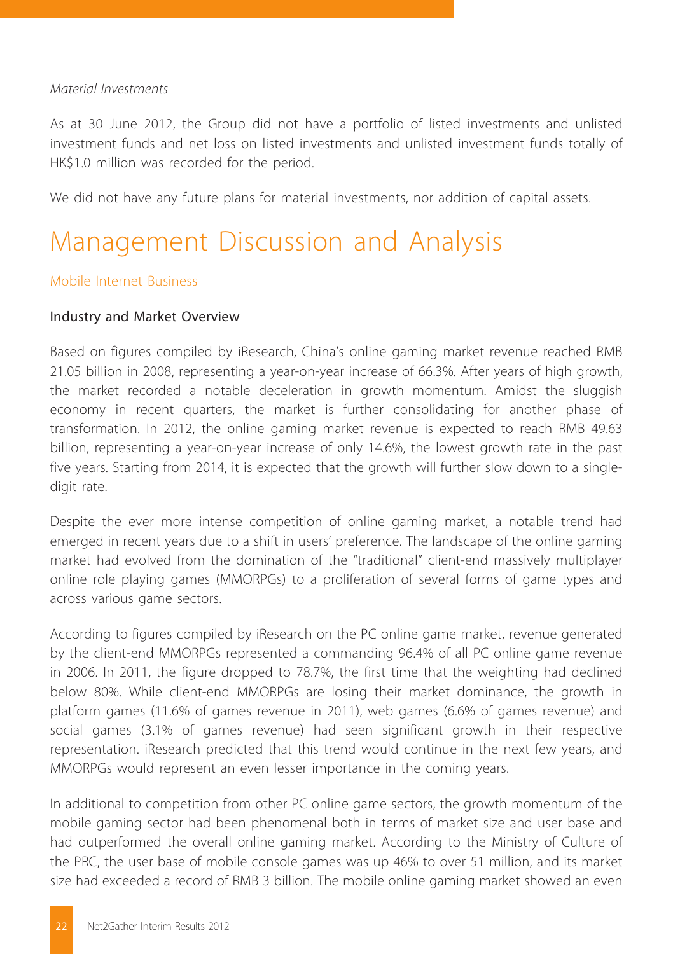#### *Material Investments*

As at 30 June 2012, the Group did not have a portfolio of listed investments and unlisted investment funds and net loss on listed investments and unlisted investment funds totally of HK\$1.0 million was recorded for the period.

We did not have any future plans for material investments, nor addition of capital assets.

## Management Discussion and Analysis

#### Mobile Internet Business

#### Industry and Market Overview

Based on figures compiled by iResearch, China's online gaming market revenue reached RMB 21.05 billion in 2008, representing a year-on-year increase of 66.3%. After years of high growth, the market recorded a notable deceleration in growth momentum. Amidst the sluggish economy in recent quarters, the market is further consolidating for another phase of transformation. In 2012, the online gaming market revenue is expected to reach RMB 49.63 billion, representing a year-on-year increase of only 14.6%, the lowest growth rate in the past five years. Starting from 2014, it is expected that the growth will further slow down to a singledigit rate.

Despite the ever more intense competition of online gaming market, a notable trend had emerged in recent years due to a shift in users' preference. The landscape of the online gaming market had evolved from the domination of the "traditional" client-end massively multiplayer online role playing games (MMORPGs) to a proliferation of several forms of game types and across various game sectors.

According to figures compiled by iResearch on the PC online game market, revenue generated by the client-end MMORPGs represented a commanding 96.4% of all PC online game revenue in 2006. In 2011, the figure dropped to 78.7%, the first time that the weighting had declined below 80%. While client-end MMORPGs are losing their market dominance, the growth in platform games (11.6% of games revenue in 2011), web games (6.6% of games revenue) and social games (3.1% of games revenue) had seen significant growth in their respective representation. iResearch predicted that this trend would continue in the next few years, and MMORPGs would represent an even lesser importance in the coming years.

In additional to competition from other PC online game sectors, the growth momentum of the mobile gaming sector had been phenomenal both in terms of market size and user base and had outperformed the overall online gaming market. According to the Ministry of Culture of the PRC, the user base of mobile console games was up 46% to over 51 million, and its market size had exceeded a record of RMB 3 billion. The mobile online gaming market showed an even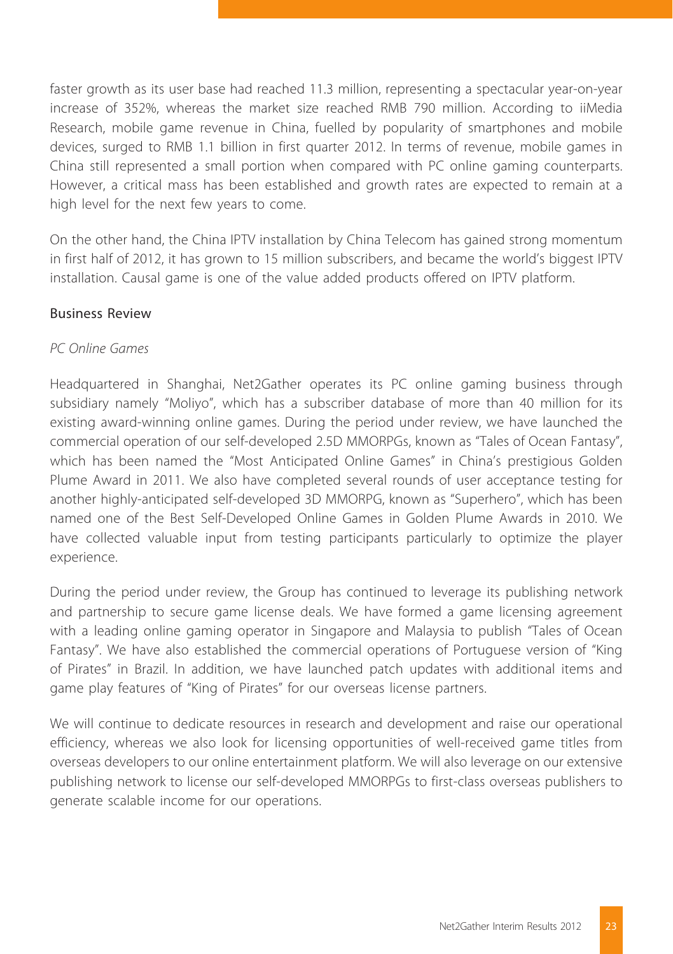faster growth as its user base had reached 11.3 million, representing a spectacular year-on-year increase of 352%, whereas the market size reached RMB 790 million. According to iiMedia Research, mobile game revenue in China, fuelled by popularity of smartphones and mobile devices, surged to RMB 1.1 billion in first quarter 2012. In terms of revenue, mobile games in China still represented a small portion when compared with PC online gaming counterparts. However, a critical mass has been established and growth rates are expected to remain at a high level for the next few years to come.

On the other hand, the China IPTV installation by China Telecom has gained strong momentum in first half of 2012, it has grown to 15 million subscribers, and became the world's biggest IPTV installation. Causal game is one of the value added products offered on IPTV platform.

#### Business Review

#### *PC Online Games*

Headquartered in Shanghai, Net2Gather operates its PC online gaming business through subsidiary namely "Moliyo", which has a subscriber database of more than 40 million for its existing award-winning online games. During the period under review, we have launched the commercial operation of our self-developed 2.5D MMORPGs, known as "Tales of Ocean Fantasy", which has been named the "Most Anticipated Online Games" in China's prestigious Golden Plume Award in 2011. We also have completed several rounds of user acceptance testing for another highly-anticipated self-developed 3D MMORPG, known as "Superhero", which has been named one of the Best Self-Developed Online Games in Golden Plume Awards in 2010. We have collected valuable input from testing participants particularly to optimize the player experience.

During the period under review, the Group has continued to leverage its publishing network and partnership to secure game license deals. We have formed a game licensing agreement with a leading online gaming operator in Singapore and Malaysia to publish "Tales of Ocean Fantasy". We have also established the commercial operations of Portuguese version of "King of Pirates" in Brazil. In addition, we have launched patch updates with additional items and game play features of "King of Pirates" for our overseas license partners.

We will continue to dedicate resources in research and development and raise our operational efficiency, whereas we also look for licensing opportunities of well-received game titles from overseas developers to our online entertainment platform. We will also leverage on our extensive publishing network to license our self-developed MMORPGs to first-class overseas publishers to generate scalable income for our operations.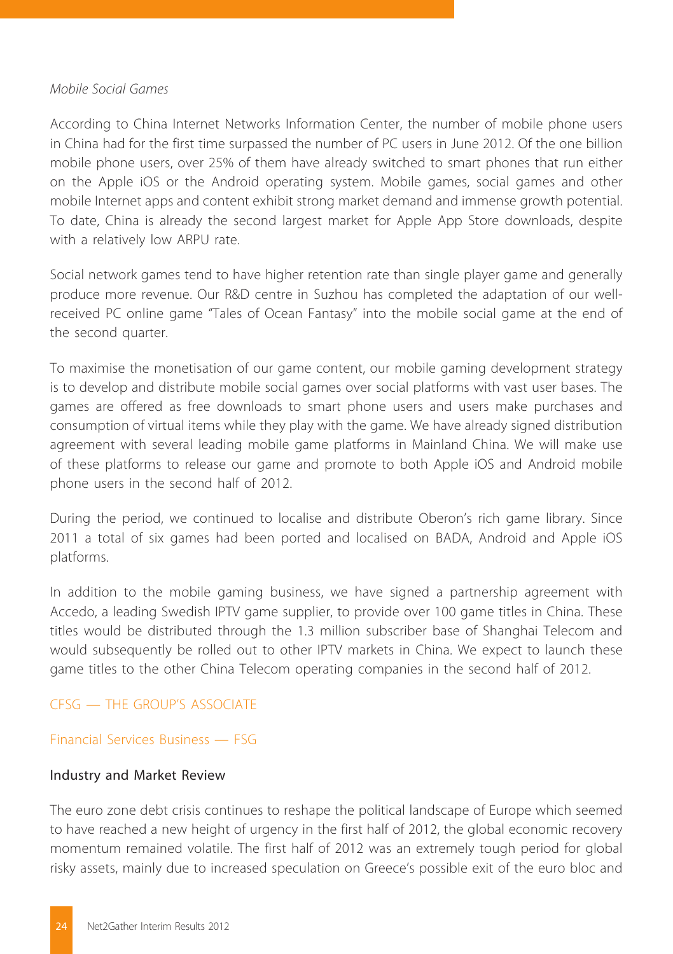#### *Mobile Social Games*

According to China Internet Networks Information Center, the number of mobile phone users in China had for the first time surpassed the number of PC users in June 2012. Of the one billion mobile phone users, over 25% of them have already switched to smart phones that run either on the Apple iOS or the Android operating system. Mobile games, social games and other mobile Internet apps and content exhibit strong market demand and immense growth potential. To date, China is already the second largest market for Apple App Store downloads, despite with a relatively low ARPU rate.

Social network games tend to have higher retention rate than single player game and generally produce more revenue. Our R&D centre in Suzhou has completed the adaptation of our wellreceived PC online game "Tales of Ocean Fantasy" into the mobile social game at the end of the second quarter.

To maximise the monetisation of our game content, our mobile gaming development strategy is to develop and distribute mobile social games over social platforms with vast user bases. The games are offered as free downloads to smart phone users and users make purchases and consumption of virtual items while they play with the game. We have already signed distribution agreement with several leading mobile game platforms in Mainland China. We will make use of these platforms to release our game and promote to both Apple iOS and Android mobile phone users in the second half of 2012.

During the period, we continued to localise and distribute Oberon's rich game library. Since 2011 a total of six games had been ported and localised on BADA, Android and Apple iOS platforms.

In addition to the mobile gaming business, we have signed a partnership agreement with Accedo, a leading Swedish IPTV game supplier, to provide over 100 game titles in China. These titles would be distributed through the 1.3 million subscriber base of Shanghai Telecom and would subsequently be rolled out to other IPTV markets in China. We expect to launch these game titles to the other China Telecom operating companies in the second half of 2012.

#### CFSG — THE GROUP'S ASSOCIATE

#### Financial Services Business — FSG

#### Industry and Market Review

The euro zone debt crisis continues to reshape the political landscape of Europe which seemed to have reached a new height of urgency in the first half of 2012, the global economic recovery momentum remained volatile. The first half of 2012 was an extremely tough period for global risky assets, mainly due to increased speculation on Greece's possible exit of the euro bloc and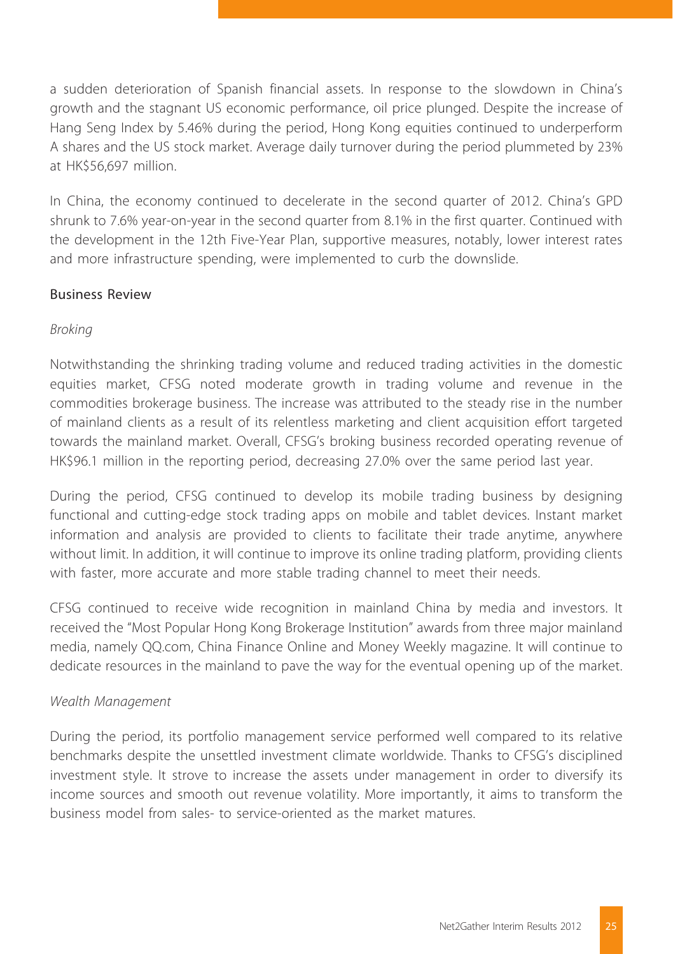a sudden deterioration of Spanish financial assets. In response to the slowdown in China's growth and the stagnant US economic performance, oil price plunged. Despite the increase of Hang Seng Index by 5.46% during the period, Hong Kong equities continued to underperform A shares and the US stock market. Average daily turnover during the period plummeted by 23% at HK\$56,697 million.

In China, the economy continued to decelerate in the second quarter of 2012. China's GPD shrunk to 7.6% year-on-year in the second quarter from 8.1% in the first quarter. Continued with the development in the 12th Five-Year Plan, supportive measures, notably, lower interest rates and more infrastructure spending, were implemented to curb the downslide.

#### Business Review

### *Broking*

Notwithstanding the shrinking trading volume and reduced trading activities in the domestic equities market, CFSG noted moderate growth in trading volume and revenue in the commodities brokerage business. The increase was attributed to the steady rise in the number of mainland clients as a result of its relentless marketing and client acquisition effort targeted towards the mainland market. Overall, CFSG's broking business recorded operating revenue of HK\$96.1 million in the reporting period, decreasing 27.0% over the same period last year.

During the period, CFSG continued to develop its mobile trading business by designing functional and cutting-edge stock trading apps on mobile and tablet devices. Instant market information and analysis are provided to clients to facilitate their trade anytime, anywhere without limit. In addition, it will continue to improve its online trading platform, providing clients with faster, more accurate and more stable trading channel to meet their needs.

CFSG continued to receive wide recognition in mainland China by media and investors. It received the "Most Popular Hong Kong Brokerage Institution" awards from three major mainland media, namely QQ.com, China Finance Online and Money Weekly magazine. It will continue to dedicate resources in the mainland to pave the way for the eventual opening up of the market.

#### *Wealth Management*

During the period, its portfolio management service performed well compared to its relative benchmarks despite the unsettled investment climate worldwide. Thanks to CFSG's disciplined investment style. It strove to increase the assets under management in order to diversify its income sources and smooth out revenue volatility. More importantly, it aims to transform the business model from sales- to service-oriented as the market matures.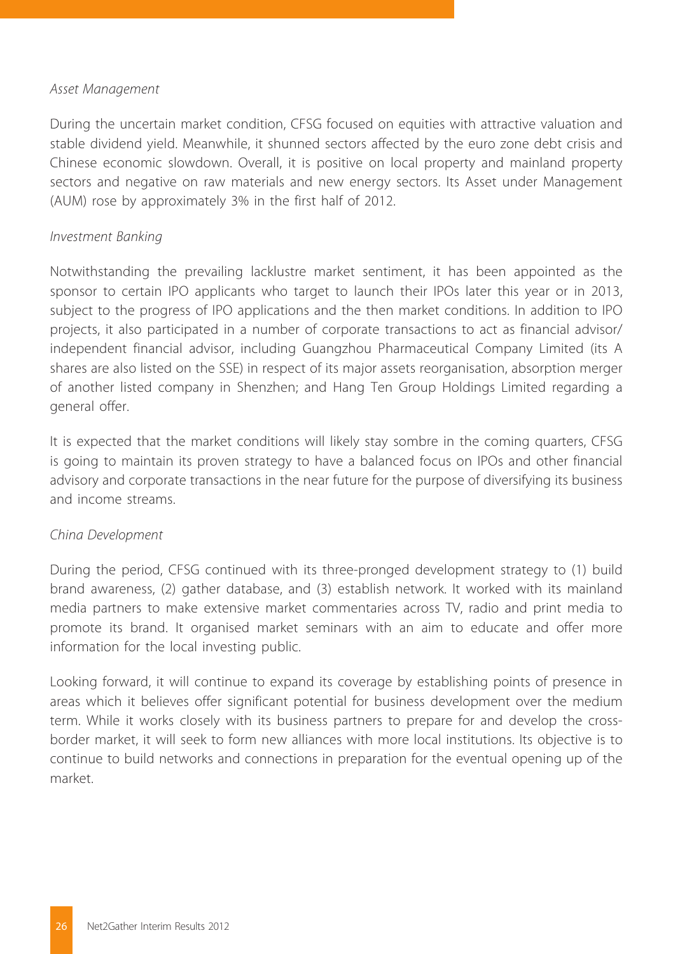#### *Asset Management*

During the uncertain market condition, CFSG focused on equities with attractive valuation and stable dividend yield. Meanwhile, it shunned sectors affected by the euro zone debt crisis and Chinese economic slowdown. Overall, it is positive on local property and mainland property sectors and negative on raw materials and new energy sectors. Its Asset under Management (AUM) rose by approximately 3% in the first half of 2012.

#### *Investment Banking*

Notwithstanding the prevailing lacklustre market sentiment, it has been appointed as the sponsor to certain IPO applicants who target to launch their IPOs later this year or in 2013, subject to the progress of IPO applications and the then market conditions. In addition to IPO projects, it also participated in a number of corporate transactions to act as financial advisor/ independent financial advisor, including Guangzhou Pharmaceutical Company Limited (its A shares are also listed on the SSE) in respect of its major assets reorganisation, absorption merger of another listed company in Shenzhen; and Hang Ten Group Holdings Limited regarding a general offer.

It is expected that the market conditions will likely stay sombre in the coming quarters, CFSG is going to maintain its proven strategy to have a balanced focus on IPOs and other financial advisory and corporate transactions in the near future for the purpose of diversifying its business and income streams.

#### *China Development*

During the period, CFSG continued with its three-pronged development strategy to (1) build brand awareness, (2) gather database, and (3) establish network. It worked with its mainland media partners to make extensive market commentaries across TV, radio and print media to promote its brand. It organised market seminars with an aim to educate and offer more information for the local investing public.

Looking forward, it will continue to expand its coverage by establishing points of presence in areas which it believes offer significant potential for business development over the medium term. While it works closely with its business partners to prepare for and develop the crossborder market, it will seek to form new alliances with more local institutions. Its objective is to continue to build networks and connections in preparation for the eventual opening up of the market.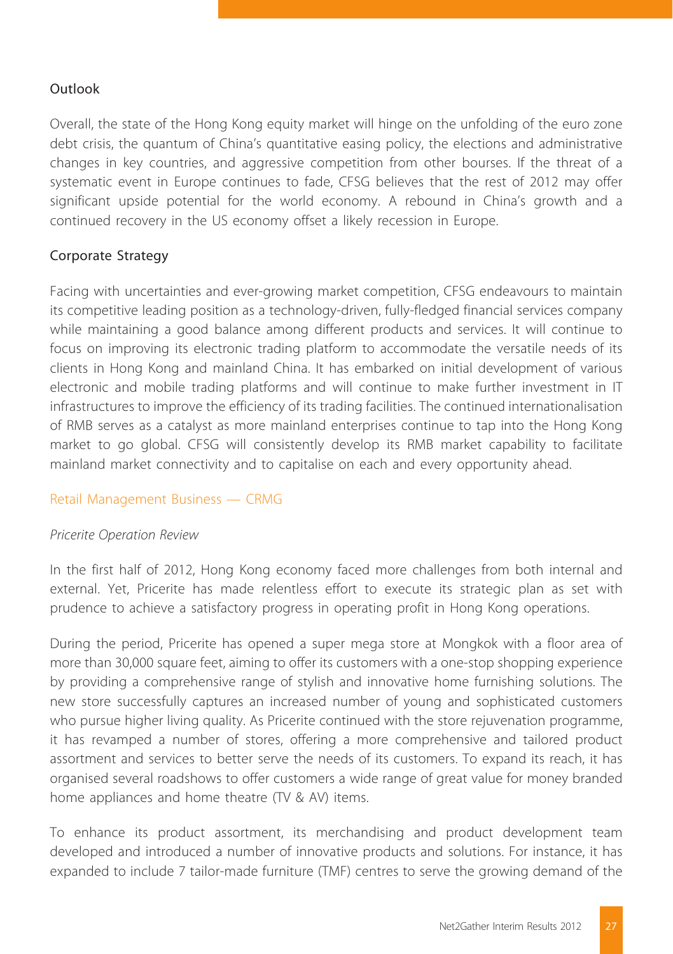### Outlook

Overall, the state of the Hong Kong equity market will hinge on the unfolding of the euro zone debt crisis, the quantum of China's quantitative easing policy, the elections and administrative changes in key countries, and aggressive competition from other bourses. If the threat of a systematic event in Europe continues to fade, CFSG believes that the rest of 2012 may offer significant upside potential for the world economy. A rebound in China's growth and a continued recovery in the US economy offset a likely recession in Europe.

#### Corporate Strategy

Facing with uncertainties and ever-growing market competition, CFSG endeavours to maintain its competitive leading position as a technology-driven, fully-fledged financial services company while maintaining a good balance among different products and services. It will continue to focus on improving its electronic trading platform to accommodate the versatile needs of its clients in Hong Kong and mainland China. It has embarked on initial development of various electronic and mobile trading platforms and will continue to make further investment in IT infrastructures to improve the efficiency of its trading facilities. The continued internationalisation of RMB serves as a catalyst as more mainland enterprises continue to tap into the Hong Kong market to go global. CFSG will consistently develop its RMB market capability to facilitate mainland market connectivity and to capitalise on each and every opportunity ahead.

### Retail Management Business — CRMG

#### *Pricerite Operation Review*

In the first half of 2012, Hong Kong economy faced more challenges from both internal and external. Yet, Pricerite has made relentless effort to execute its strategic plan as set with prudence to achieve a satisfactory progress in operating profit in Hong Kong operations.

During the period, Pricerite has opened a super mega store at Mongkok with a floor area of more than 30,000 square feet, aiming to offer its customers with a one-stop shopping experience by providing a comprehensive range of stylish and innovative home furnishing solutions. The new store successfully captures an increased number of young and sophisticated customers who pursue higher living quality. As Pricerite continued with the store rejuvenation programme, it has revamped a number of stores, offering a more comprehensive and tailored product assortment and services to better serve the needs of its customers. To expand its reach, it has organised several roadshows to offer customers a wide range of great value for money branded home appliances and home theatre (TV & AV) items.

To enhance its product assortment, its merchandising and product development team developed and introduced a number of innovative products and solutions. For instance, it has expanded to include 7 tailor-made furniture (TMF) centres to serve the growing demand of the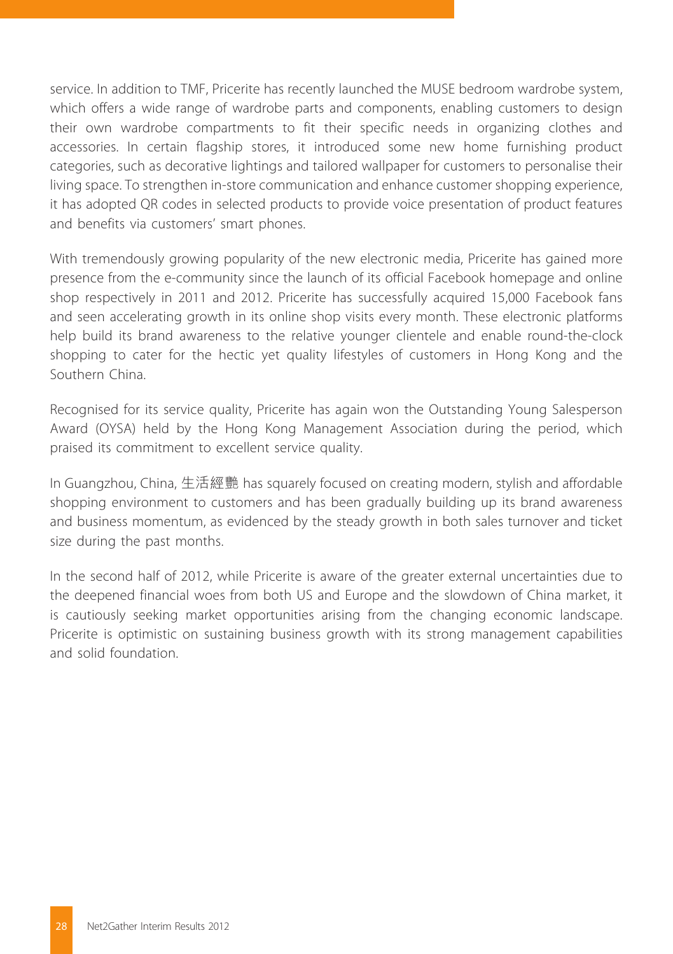service. In addition to TMF, Pricerite has recently launched the MUSE bedroom wardrobe system, which offers a wide range of wardrobe parts and components, enabling customers to design their own wardrobe compartments to fit their specific needs in organizing clothes and accessories. In certain flagship stores, it introduced some new home furnishing product categories, such as decorative lightings and tailored wallpaper for customers to personalise their living space. To strengthen in-store communication and enhance customer shopping experience, it has adopted QR codes in selected products to provide voice presentation of product features and benefits via customers' smart phones.

With tremendously growing popularity of the new electronic media, Pricerite has gained more presence from the e-community since the launch of its official Facebook homepage and online shop respectively in 2011 and 2012. Pricerite has successfully acquired 15,000 Facebook fans and seen accelerating growth in its online shop visits every month. These electronic platforms help build its brand awareness to the relative younger clientele and enable round-the-clock shopping to cater for the hectic yet quality lifestyles of customers in Hong Kong and the Southern China.

Recognised for its service quality, Pricerite has again won the Outstanding Young Salesperson Award (OYSA) held by the Hong Kong Management Association during the period, which praised its commitment to excellent service quality.

In Guangzhou, China, 生活經艷 has squarely focused on creating modern, stylish and affordable shopping environment to customers and has been gradually building up its brand awareness and business momentum, as evidenced by the steady growth in both sales turnover and ticket size during the past months.

In the second half of 2012, while Pricerite is aware of the greater external uncertainties due to the deepened financial woes from both US and Europe and the slowdown of China market, it is cautiously seeking market opportunities arising from the changing economic landscape. Pricerite is optimistic on sustaining business growth with its strong management capabilities and solid foundation.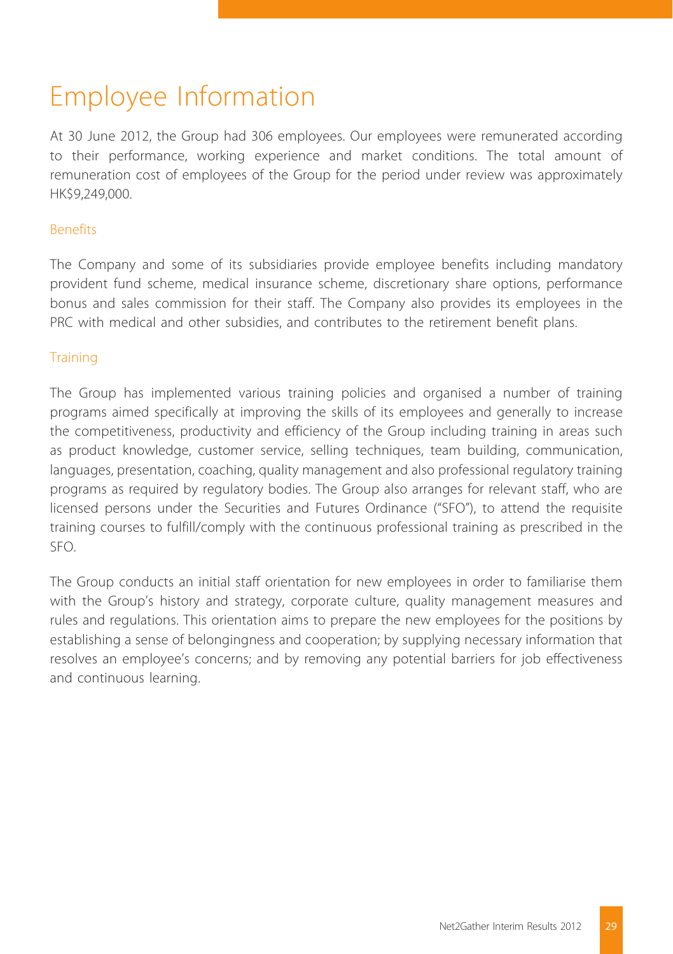# Employee Information

At 30 June 2012, the Group had 306 employees. Our employees were remunerated according to their performance, working experience and market conditions. The total amount of remuneration cost of employees of the Group for the period under review was approximately HK\$9,249,000.

#### Benefits

The Company and some of its subsidiaries provide employee benefits including mandatory provident fund scheme, medical insurance scheme, discretionary share options, performance bonus and sales commission for their staff. The Company also provides its employees in the PRC with medical and other subsidies, and contributes to the retirement benefit plans.

#### **Training**

The Group has implemented various training policies and organised a number of training programs aimed specifically at improving the skills of its employees and generally to increase the competitiveness, productivity and efficiency of the Group including training in areas such as product knowledge, customer service, selling techniques, team building, communication, languages, presentation, coaching, quality management and also professional regulatory training programs as required by regulatory bodies. The Group also arranges for relevant staff, who are licensed persons under the Securities and Futures Ordinance ("SFO"), to attend the requisite training courses to fulfill/comply with the continuous professional training as prescribed in the SFO.

The Group conducts an initial staff orientation for new employees in order to familiarise them with the Group's history and strategy, corporate culture, quality management measures and rules and regulations. This orientation aims to prepare the new employees for the positions by establishing a sense of belongingness and cooperation; by supplying necessary information that resolves an employee's concerns; and by removing any potential barriers for job effectiveness and continuous learning.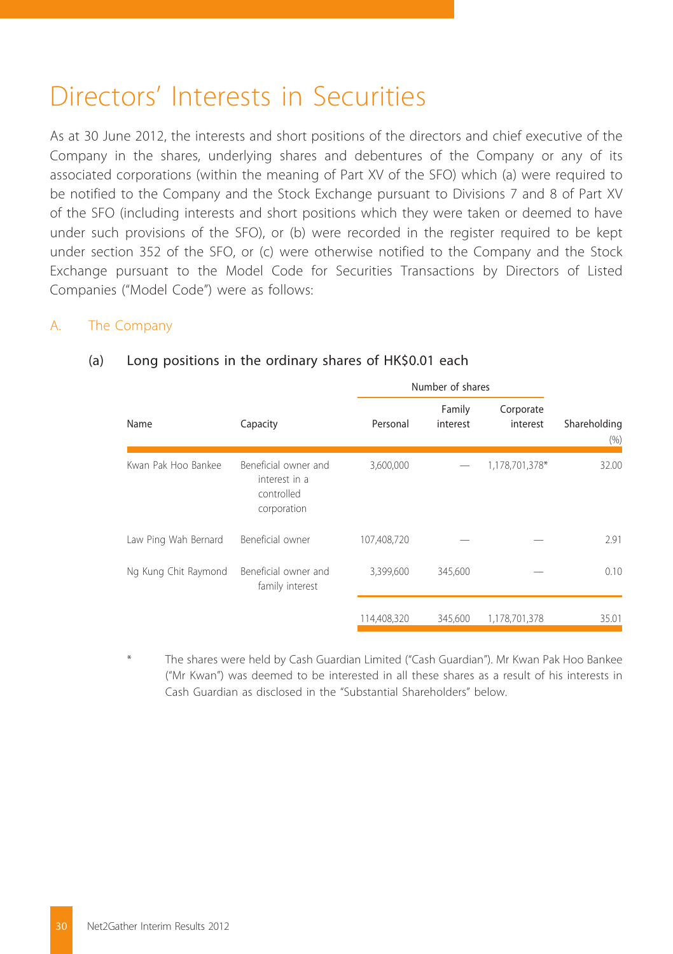## Directors' Interests in Securities

As at 30 June 2012, the interests and short positions of the directors and chief executive of the Company in the shares, underlying shares and debentures of the Company or any of its associated corporations (within the meaning of Part XV of the SFO) which (a) were required to be notified to the Company and the Stock Exchange pursuant to Divisions 7 and 8 of Part XV of the SFO (including interests and short positions which they were taken or deemed to have under such provisions of the SFO), or (b) were recorded in the register required to be kept under section 352 of the SFO, or (c) were otherwise notified to the Company and the Stock Exchange pursuant to the Model Code for Securities Transactions by Directors of Listed Companies ("Model Code") were as follows:

#### A. The Company

#### Number of shares Name Capacity Capacity Personal Family interest Corporate interest Shareholding (%) Kwan Pak Hoo Bankee Beneficial owner and interest in a controlled corporation 3,600,000 — 1,178,701,378\* 32.00 Law Ping Wah Bernard Beneficial owner 107,408,720 — — 2.91 Ng Kung Chit Raymond Beneficial owner and family interest 3,399,600 345,600 — 0.10 114,408,320 345,600 1,178,701,378 35.01

#### (a) Long positions in the ordinary shares of HK\$0.01 each

The shares were held by Cash Guardian Limited ("Cash Guardian"). Mr Kwan Pak Hoo Bankee ("Mr Kwan") was deemed to be interested in all these shares as a result of his interests in Cash Guardian as disclosed in the "Substantial Shareholders" below.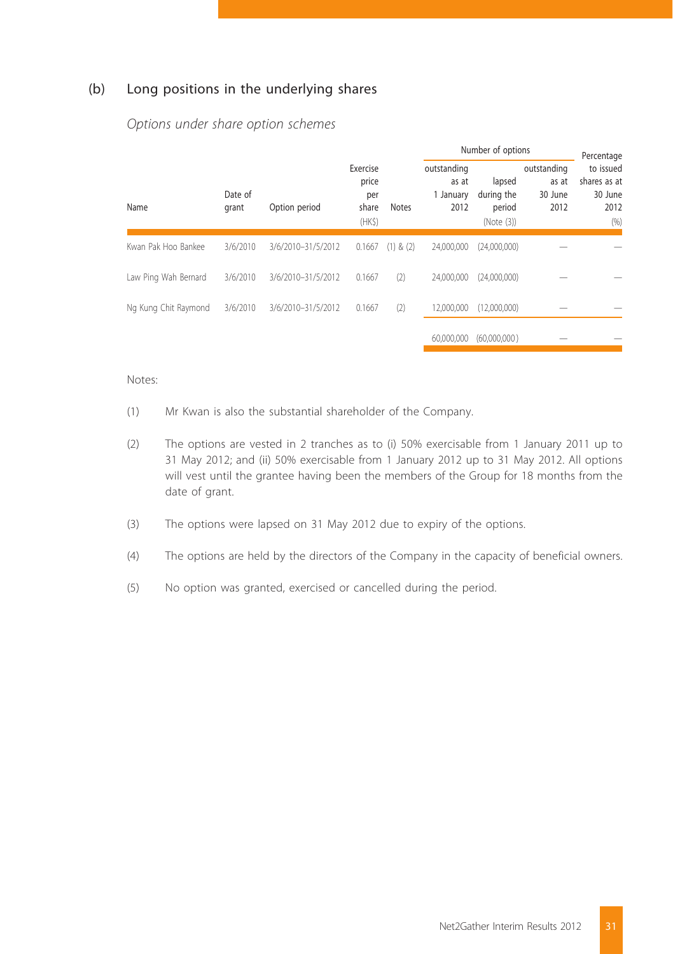#### (b) Long positions in the underlying shares

|                      |                  |                    |                                             |               | Number of options                         |                                              |                                         | Percentage                                           |
|----------------------|------------------|--------------------|---------------------------------------------|---------------|-------------------------------------------|----------------------------------------------|-----------------------------------------|------------------------------------------------------|
| Name                 | Date of<br>grant | Option period      | Exercise<br>price<br>per<br>share<br>$(HK\$ | Notes         | outstanding<br>as at<br>1 January<br>2012 | lapsed<br>during the<br>period<br>(Note (3)) | outstanding<br>as at<br>30 June<br>2012 | to issued<br>shares as at<br>30 June<br>2012<br>(96) |
| Kwan Pak Hoo Bankee  | 3/6/2010         | 3/6/2010-31/5/2012 | 0.1667                                      | $(1)$ & $(2)$ | 24.000.000                                | (24,000,000)                                 |                                         |                                                      |
| Law Ping Wah Bernard | 3/6/2010         | 3/6/2010-31/5/2012 | 0.1667                                      | (2)           | 24.000.000                                | (24.000.000)                                 |                                         |                                                      |
| Ng Kung Chit Raymond | 3/6/2010         | 3/6/2010-31/5/2012 | 0.1667                                      | (2)           | 12.000.000                                | (12.000.000)                                 |                                         |                                                      |
|                      |                  |                    |                                             |               | 60,000,000                                | (60.000.000)                                 |                                         |                                                      |

 *Options under share option schemes*

#### Notes:

- (1) Mr Kwan is also the substantial shareholder of the Company.
- (2) The options are vested in 2 tranches as to (i) 50% exercisable from 1 January 2011 up to 31 May 2012; and (ii) 50% exercisable from 1 January 2012 up to 31 May 2012. All options will vest until the grantee having been the members of the Group for 18 months from the date of grant.
- (3) The options were lapsed on 31 May 2012 due to expiry of the options.
- (4) The options are held by the directors of the Company in the capacity of beneficial owners.
- (5) No option was granted, exercised or cancelled during the period.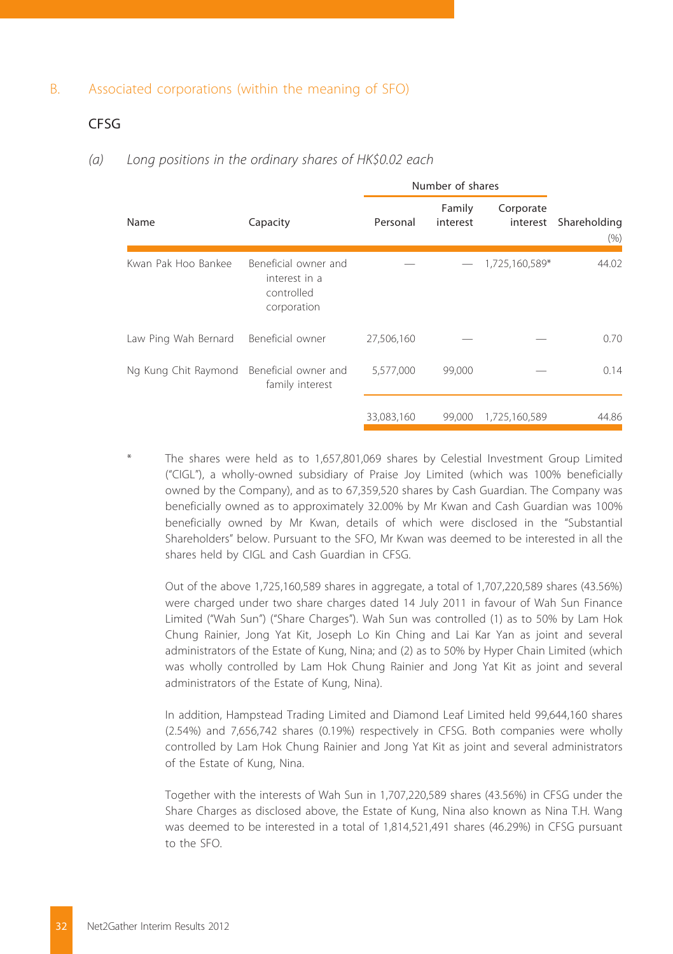#### B. Associated corporations (within the meaning of SFO)

#### CFSG

#### *(a) Long positions in the ordinary shares of HK\$0.02 each*

|                      |                                                                    | Number of shares |                    |                       |                      |
|----------------------|--------------------------------------------------------------------|------------------|--------------------|-----------------------|----------------------|
| Name                 | Capacity                                                           | Personal         | Family<br>interest | Corporate<br>interest | Shareholding<br>(96) |
| Kwan Pak Hoo Bankee  | Beneficial owner and<br>interest in a<br>controlled<br>corporation |                  |                    | 1,725,160,589*        | 44.02                |
| Law Ping Wah Bernard | Beneficial owner                                                   | 27,506,160       |                    |                       | 0.70                 |
| Ng Kung Chit Raymond | Beneficial owner and<br>family interest                            | 5,577,000        | 99,000             |                       | 0.14                 |
|                      |                                                                    | 33,083,160       | 99,000             | 1,725,160,589         | 44.86                |

The shares were held as to 1,657,801,069 shares by Celestial Investment Group Limited ("CIGL"), a wholly-owned subsidiary of Praise Joy Limited (which was 100% beneficially owned by the Company), and as to 67,359,520 shares by Cash Guardian. The Company was beneficially owned as to approximately 32.00% by Mr Kwan and Cash Guardian was 100% beneficially owned by Mr Kwan, details of which were disclosed in the "Substantial Shareholders" below. Pursuant to the SFO, Mr Kwan was deemed to be interested in all the shares held by CIGL and Cash Guardian in CFSG.

Out of the above 1,725,160,589 shares in aggregate, a total of 1,707,220,589 shares (43.56%) were charged under two share charges dated 14 July 2011 in favour of Wah Sun Finance Limited ("Wah Sun") ("Share Charges"). Wah Sun was controlled (1) as to 50% by Lam Hok Chung Rainier, Jong Yat Kit, Joseph Lo Kin Ching and Lai Kar Yan as joint and several administrators of the Estate of Kung, Nina; and (2) as to 50% by Hyper Chain Limited (which was wholly controlled by Lam Hok Chung Rainier and Jong Yat Kit as joint and several administrators of the Estate of Kung, Nina).

In addition, Hampstead Trading Limited and Diamond Leaf Limited held 99,644,160 shares (2.54%) and 7,656,742 shares (0.19%) respectively in CFSG. Both companies were wholly controlled by Lam Hok Chung Rainier and Jong Yat Kit as joint and several administrators of the Estate of Kung, Nina.

Together with the interests of Wah Sun in 1,707,220,589 shares (43.56%) in CFSG under the Share Charges as disclosed above, the Estate of Kung, Nina also known as Nina T.H. Wang was deemed to be interested in a total of 1,814,521,491 shares (46.29%) in CFSG pursuant to the SFO.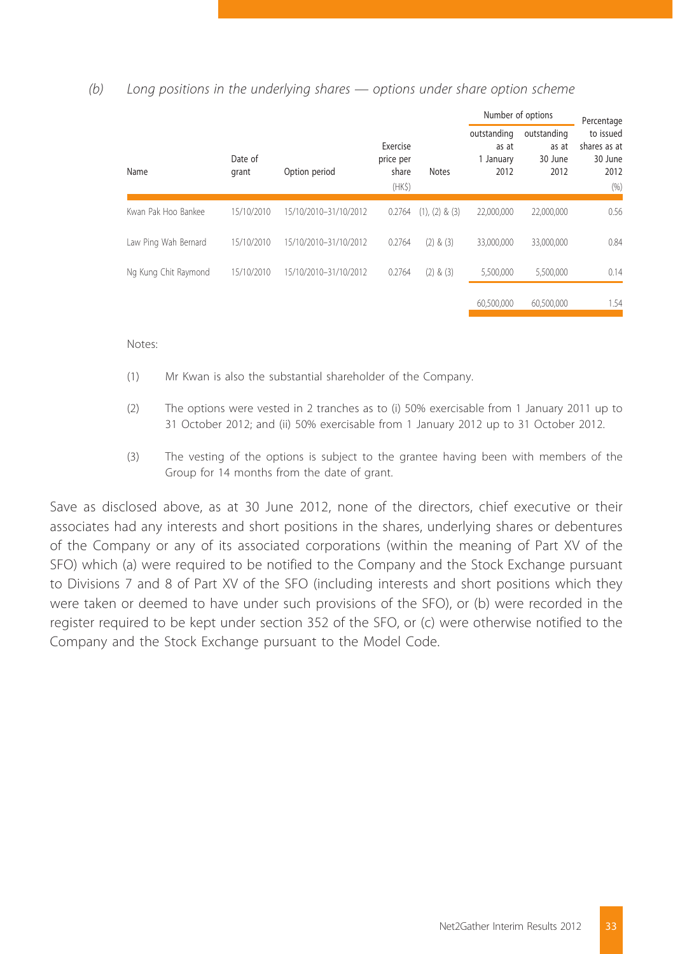#### *(b) Long positions in the underlying shares — options under share option scheme*

|                      |                  |                                         |        |                    | Number of options |              | Percentage                                |                                         |                                                      |
|----------------------|------------------|-----------------------------------------|--------|--------------------|-------------------|--------------|-------------------------------------------|-----------------------------------------|------------------------------------------------------|
| Name                 | Date of<br>grant | Exercise<br>price per<br>share<br>(HKS) |        | Option period      |                   | <b>Notes</b> | outstanding<br>as at<br>1 January<br>2012 | outstanding<br>as at<br>30 June<br>2012 | to issued<br>shares as at<br>30 June<br>2012<br>(96) |
| Kwan Pak Hoo Bankee  | 15/10/2010       | 15/10/2010-31/10/2012                   | 0.2764 | $(1), (2)$ & $(3)$ | 22.000.000        | 22,000,000   | 0.56                                      |                                         |                                                      |
| Law Ping Wah Bernard | 15/10/2010       | 15/10/2010-31/10/2012                   | 0.2764 | $(2)$ & $(3)$      | 33.000.000        | 33,000,000   | 0.84                                      |                                         |                                                      |
| Ng Kung Chit Raymond | 15/10/2010       | 15/10/2010-31/10/2012                   | 0.2764 | $(2)$ & $(3)$      | 5,500,000         | 5.500.000    | 0.14                                      |                                         |                                                      |
|                      |                  |                                         |        |                    | 60,500,000        | 60,500,000   | 1.54                                      |                                         |                                                      |

Notes:

- (1) Mr Kwan is also the substantial shareholder of the Company.
- (2) The options were vested in 2 tranches as to (i) 50% exercisable from 1 January 2011 up to 31 October 2012; and (ii) 50% exercisable from 1 January 2012 up to 31 October 2012.
- (3) The vesting of the options is subject to the grantee having been with members of the Group for 14 months from the date of grant.

Save as disclosed above, as at 30 June 2012, none of the directors, chief executive or their associates had any interests and short positions in the shares, underlying shares or debentures of the Company or any of its associated corporations (within the meaning of Part XV of the SFO) which (a) were required to be notified to the Company and the Stock Exchange pursuant to Divisions 7 and 8 of Part XV of the SFO (including interests and short positions which they were taken or deemed to have under such provisions of the SFO), or (b) were recorded in the register required to be kept under section 352 of the SFO, or (c) were otherwise notified to the Company and the Stock Exchange pursuant to the Model Code.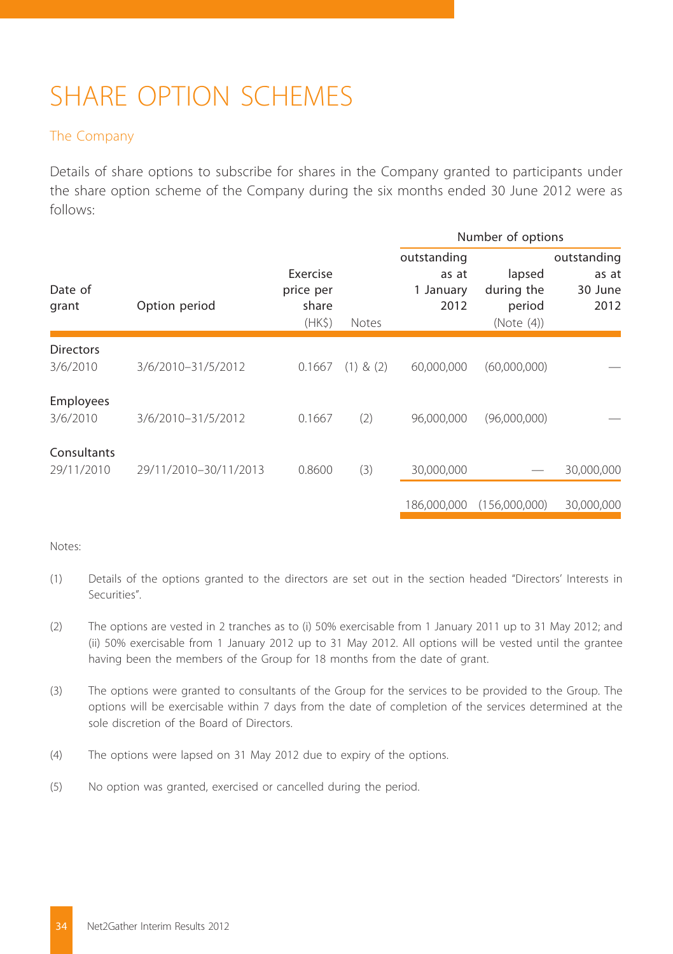# SHARE OPTION SCHEMES

#### The Company

Details of share options to subscribe for shares in the Company granted to participants under the share option scheme of the Company during the six months ended 30 June 2012 were as follows:

|                              |                       |                                         |               |                                           | Number of options                            |                                         |
|------------------------------|-----------------------|-----------------------------------------|---------------|-------------------------------------------|----------------------------------------------|-----------------------------------------|
| Date of<br>grant             | Option period         | Exercise<br>price per<br>share<br>(HKS) | <b>Notes</b>  | outstanding<br>as at<br>1 January<br>2012 | lapsed<br>during the<br>period<br>(Note (4)) | outstanding<br>as at<br>30 June<br>2012 |
| <b>Directors</b><br>3/6/2010 | 3/6/2010-31/5/2012    | 0.1667                                  | $(1)$ & $(2)$ | 60,000,000                                | (60,000,000)                                 |                                         |
| Employees<br>3/6/2010        | 3/6/2010-31/5/2012    | 0.1667                                  | (2)           | 96.000.000                                | (96,000,000)                                 |                                         |
| Consultants<br>29/11/2010    | 29/11/2010-30/11/2013 | 0.8600                                  | (3)           | 30,000,000                                |                                              | 30,000,000                              |
|                              |                       |                                         |               | 186.000.000                               | (156.000.000)                                | 30.000.000                              |

#### Notes:

- (1) Details of the options granted to the directors are set out in the section headed "Directors' Interests in Securities".
- (2) The options are vested in 2 tranches as to (i) 50% exercisable from 1 January 2011 up to 31 May 2012; and (ii) 50% exercisable from 1 January 2012 up to 31 May 2012. All options will be vested until the grantee having been the members of the Group for 18 months from the date of grant.
- (3) The options were granted to consultants of the Group for the services to be provided to the Group. The options will be exercisable within 7 days from the date of completion of the services determined at the sole discretion of the Board of Directors.
- (4) The options were lapsed on 31 May 2012 due to expiry of the options.
- (5) No option was granted, exercised or cancelled during the period.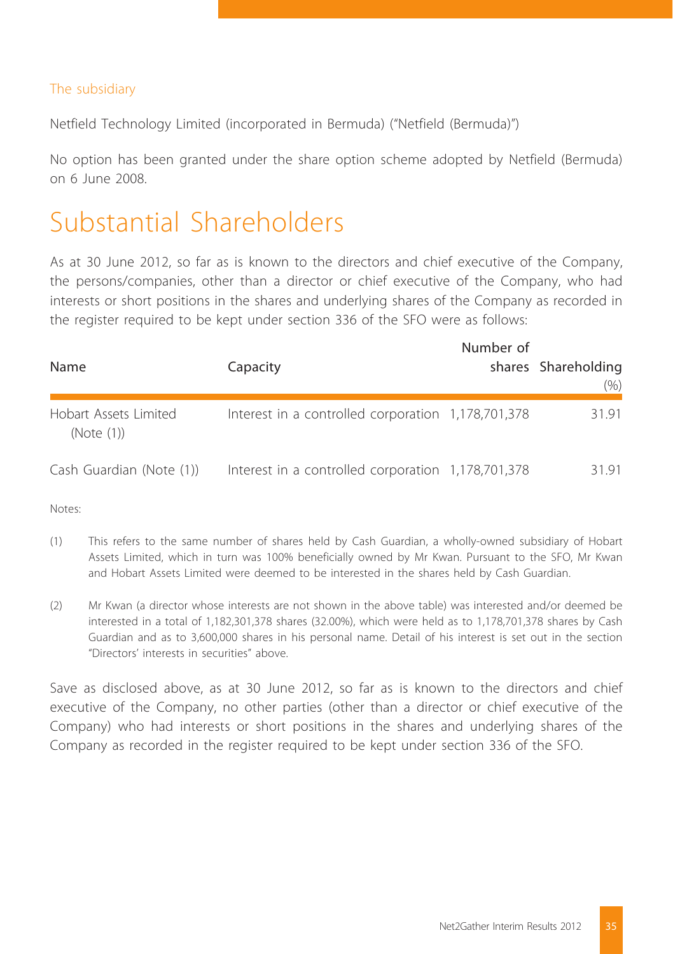#### The subsidiary

Netfield Technology Limited (incorporated in Bermuda) ("Netfield (Bermuda)")

No option has been granted under the share option scheme adopted by Netfield (Bermuda) on 6 June 2008.

### Substantial Shareholders

As at 30 June 2012, so far as is known to the directors and chief executive of the Company, the persons/companies, other than a director or chief executive of the Company, who had interests or short positions in the shares and underlying shares of the Company as recorded in the register required to be kept under section 336 of the SFO were as follows:

| Name                                | Capacity                                           | Number of | shares Shareholding<br>$(\% )$ |
|-------------------------------------|----------------------------------------------------|-----------|--------------------------------|
| Hobart Assets Limited<br>(Note (1)) | Interest in a controlled corporation 1,178,701,378 |           | 31.91                          |
| Cash Guardian (Note (1))            | Interest in a controlled corporation 1,178,701,378 |           | 3191                           |

Notes:

- (1) This refers to the same number of shares held by Cash Guardian, a wholly-owned subsidiary of Hobart Assets Limited, which in turn was 100% beneficially owned by Mr Kwan. Pursuant to the SFO, Mr Kwan and Hobart Assets Limited were deemed to be interested in the shares held by Cash Guardian.
- (2) Mr Kwan (a director whose interests are not shown in the above table) was interested and/or deemed be interested in a total of 1,182,301,378 shares (32.00%), which were held as to 1,178,701,378 shares by Cash Guardian and as to 3,600,000 shares in his personal name. Detail of his interest is set out in the section "Directors' interests in securities" above.

Save as disclosed above, as at 30 June 2012, so far as is known to the directors and chief executive of the Company, no other parties (other than a director or chief executive of the Company) who had interests or short positions in the shares and underlying shares of the Company as recorded in the register required to be kept under section 336 of the SFO.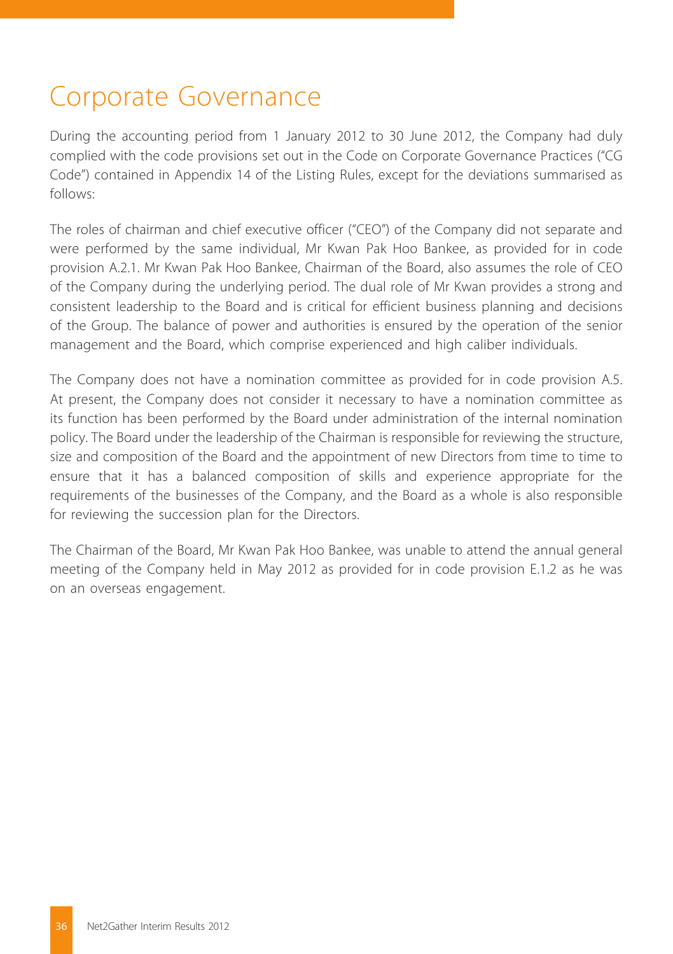# Corporate Governance

During the accounting period from 1 January 2012 to 30 June 2012, the Company had duly complied with the code provisions set out in the Code on Corporate Governance Practices ("CG Code") contained in Appendix 14 of the Listing Rules, except for the deviations summarised as follows:

The roles of chairman and chief executive officer ("CEO") of the Company did not separate and were performed by the same individual, Mr Kwan Pak Hoo Bankee, as provided for in code provision A.2.1. Mr Kwan Pak Hoo Bankee, Chairman of the Board, also assumes the role of CEO of the Company during the underlying period. The dual role of Mr Kwan provides a strong and consistent leadership to the Board and is critical for efficient business planning and decisions of the Group. The balance of power and authorities is ensured by the operation of the senior management and the Board, which comprise experienced and high caliber individuals.

The Company does not have a nomination committee as provided for in code provision A.5. At present, the Company does not consider it necessary to have a nomination committee as its function has been performed by the Board under administration of the internal nomination policy. The Board under the leadership of the Chairman is responsible for reviewing the structure, size and composition of the Board and the appointment of new Directors from time to time to ensure that it has a balanced composition of skills and experience appropriate for the requirements of the businesses of the Company, and the Board as a whole is also responsible for reviewing the succession plan for the Directors.

The Chairman of the Board, Mr Kwan Pak Hoo Bankee, was unable to attend the annual general meeting of the Company held in May 2012 as provided for in code provision E.1.2 as he was on an overseas engagement.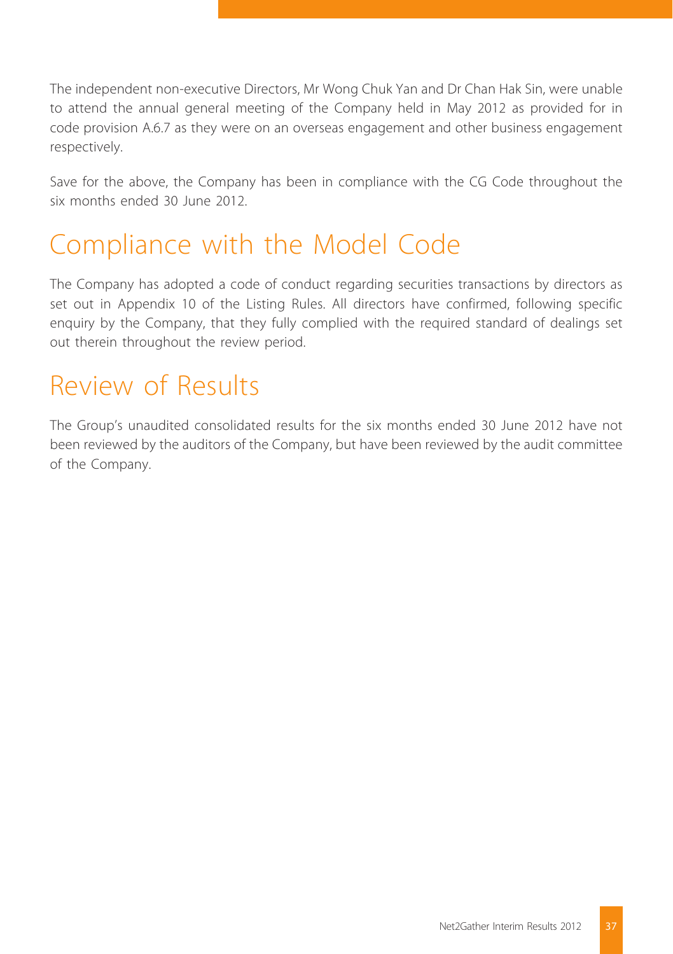The independent non-executive Directors, Mr Wong Chuk Yan and Dr Chan Hak Sin, were unable to attend the annual general meeting of the Company held in May 2012 as provided for in code provision A.6.7 as they were on an overseas engagement and other business engagement respectively.

Save for the above, the Company has been in compliance with the CG Code throughout the six months ended 30 June 2012.

## Compliance with the Model Code

The Company has adopted a code of conduct regarding securities transactions by directors as set out in Appendix 10 of the Listing Rules. All directors have confirmed, following specific enquiry by the Company, that they fully complied with the required standard of dealings set out therein throughout the review period.

## Review of Results

The Group's unaudited consolidated results for the six months ended 30 June 2012 have not been reviewed by the auditors of the Company, but have been reviewed by the audit committee of the Company.